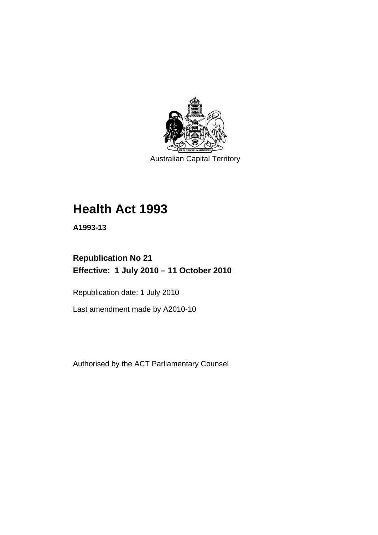

Australian Capital Territory

# **[Health Act 1993](#page-8-0)**

**A1993-13** 

# **Republication No 21 Effective: 1 July 2010 – 11 October 2010**

Republication date: 1 July 2010

Last amendment made by A2010-10

Authorised by the ACT Parliamentary Counsel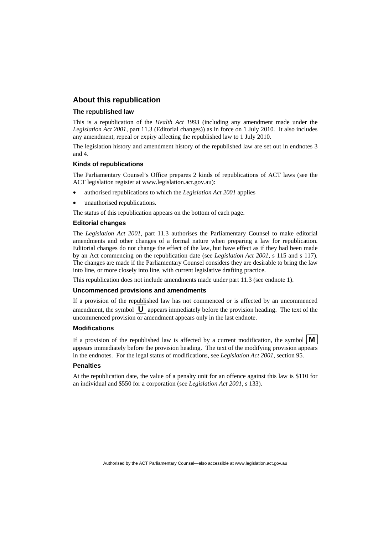# **About this republication**

#### **The republished law**

This is a republication of the *Health Act 1993* (including any amendment made under the *Legislation Act 2001*, part 11.3 (Editorial changes)) as in force on 1 July 2010*.* It also includes any amendment, repeal or expiry affecting the republished law to 1 July 2010.

The legislation history and amendment history of the republished law are set out in endnotes 3 and 4.

#### **Kinds of republications**

The Parliamentary Counsel's Office prepares 2 kinds of republications of ACT laws (see the ACT legislation register at www.legislation.act.gov.au):

- authorised republications to which the *Legislation Act 2001* applies
- unauthorised republications.

The status of this republication appears on the bottom of each page.

#### **Editorial changes**

The *Legislation Act 2001*, part 11.3 authorises the Parliamentary Counsel to make editorial amendments and other changes of a formal nature when preparing a law for republication. Editorial changes do not change the effect of the law, but have effect as if they had been made by an Act commencing on the republication date (see *Legislation Act 2001*, s 115 and s 117). The changes are made if the Parliamentary Counsel considers they are desirable to bring the law into line, or more closely into line, with current legislative drafting practice.

This republication does not include amendments made under part 11.3 (see endnote 1).

#### **Uncommenced provisions and amendments**

If a provision of the republished law has not commenced or is affected by an uncommenced amendment, the symbol  $\mathbf{U}$  appears immediately before the provision heading. The text of the uncommenced provision or amendment appears only in the last endnote.

#### **Modifications**

If a provision of the republished law is affected by a current modification, the symbol  $\mathbf{M}$ appears immediately before the provision heading. The text of the modifying provision appears in the endnotes. For the legal status of modifications, see *Legislation Act 2001*, section 95.

#### **Penalties**

At the republication date, the value of a penalty unit for an offence against this law is \$110 for an individual and \$550 for a corporation (see *Legislation Act 2001*, s 133).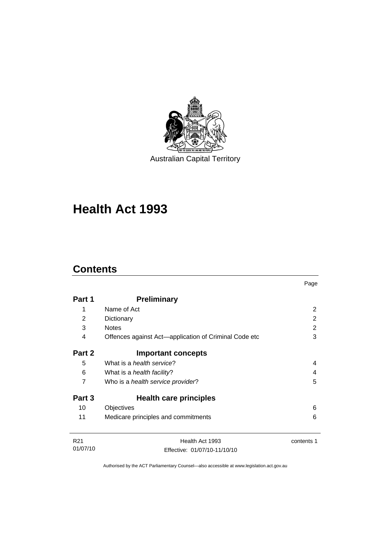

# **[Health Act 1993](#page-8-0)**

# **Contents**

| Part 1          | <b>Preliminary</b>                                    |            |
|-----------------|-------------------------------------------------------|------------|
| 1               | Name of Act                                           | 2          |
| 2               | Dictionary                                            | 2          |
| 3               | <b>Notes</b>                                          | 2          |
| 4               | Offences against Act—application of Criminal Code etc | 3          |
| Part 2          | <b>Important concepts</b>                             |            |
| 5               | What is a <i>health service</i> ?                     | 4          |
| 6               | What is a <i>health facility</i> ?                    | 4          |
| 7               | Who is a health service provider?                     | 5          |
| Part 3          | <b>Health care principles</b>                         |            |
| 10              | Objectives                                            | 6          |
| 11              | Medicare principles and commitments                   | 6          |
| R <sub>21</sub> | Health Act 1993                                       | contents 1 |
| 01/07/10        | Effective: 01/07/10-11/10/10                          |            |

Page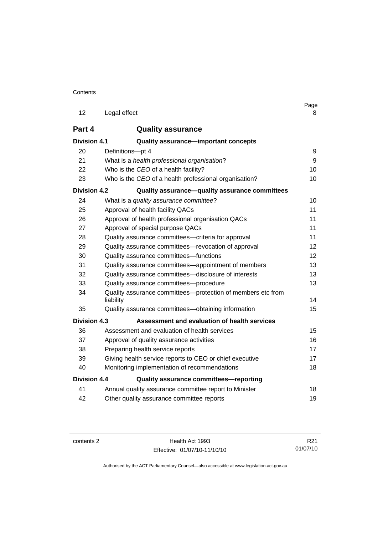| 12                  | Legal effect                                                             | Page<br>8 |
|---------------------|--------------------------------------------------------------------------|-----------|
| Part 4              | <b>Quality assurance</b>                                                 |           |
| <b>Division 4.1</b> | <b>Quality assurance-important concepts</b>                              |           |
| 20                  | Definitions-pt 4                                                         | 9         |
| 21                  | What is a health professional organisation?                              | 9         |
| 22                  | Who is the CEO of a health facility?                                     | 10        |
| 23                  | Who is the CEO of a health professional organisation?                    | 10        |
| Division 4.2        | Quality assurance-quality assurance committees                           |           |
| 24                  | What is a quality assurance committee?                                   | 10        |
| 25                  | Approval of health facility QACs                                         | 11        |
| 26                  | Approval of health professional organisation QACs                        | 11        |
| 27                  | Approval of special purpose QACs                                         | 11        |
| 28                  | Quality assurance committees-criteria for approval                       | 11        |
| 29                  | Quality assurance committees-revocation of approval                      | 12        |
| 30                  | Quality assurance committees-functions                                   | 12        |
| 31                  | Quality assurance committees—appointment of members                      | 13        |
| 32                  | Quality assurance committees-disclosure of interests                     | 13        |
| 33                  | Quality assurance committees-procedure                                   | 13        |
| 34                  | Quality assurance committees—protection of members etc from<br>liability | 14        |
| 35                  | Quality assurance committees-obtaining information                       | 15        |
| <b>Division 4.3</b> | Assessment and evaluation of health services                             |           |
| 36                  | Assessment and evaluation of health services                             | 15        |
| 37                  | Approval of quality assurance activities                                 | 16        |
| 38                  | Preparing health service reports                                         | 17        |
| 39                  | Giving health service reports to CEO or chief executive                  | 17        |
| 40                  | Monitoring implementation of recommendations                             | 18        |
| <b>Division 4.4</b> | Quality assurance committees-reporting                                   |           |
| 41                  | Annual quality assurance committee report to Minister                    | 18        |
| 42                  | Other quality assurance committee reports                                | 19        |

contents 2 Health Act 1993 Effective: 01/07/10-11/10/10

R21 01/07/10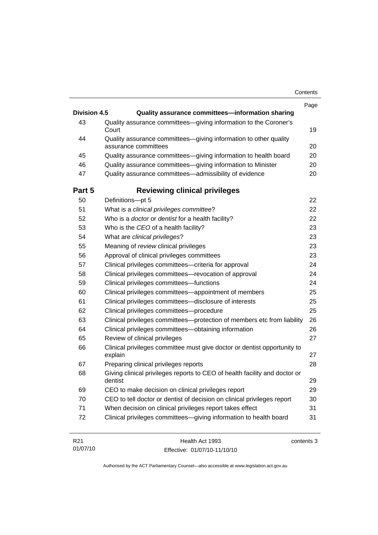| Contents |
|----------|
|----------|

|                     |                                                                                          | Page |
|---------------------|------------------------------------------------------------------------------------------|------|
| <b>Division 4.5</b> | Quality assurance committees-information sharing                                         |      |
| 43                  | Quality assurance committees-giving information to the Coroner's<br>Court                | 19   |
| 44                  | Quality assurance committees-giving information to other quality<br>assurance committees | 20   |
| 45                  | Quality assurance committees-giving information to health board                          | 20   |
| 46                  | Quality assurance committees-giving information to Minister                              | 20   |
| 47                  | Quality assurance committees-admissibility of evidence                                   | 20   |
| Part 5              | <b>Reviewing clinical privileges</b>                                                     |      |
| 50                  | Definitions-pt 5                                                                         | 22   |
| 51                  | What is a clinical privileges committee?                                                 | 22   |
| 52                  | Who is a <i>doctor</i> or <i>dentist</i> for a health facility?                          | 22   |
| 53                  | Who is the CEO of a health facility?                                                     | 23   |
| 54                  | What are clinical privileges?                                                            | 23   |
| 55                  | Meaning of review clinical privileges                                                    | 23   |
| 56                  | Approval of clinical privileges committees                                               | 23   |
| 57                  | Clinical privileges committees—criteria for approval                                     | 24   |
| 58                  | Clinical privileges committees—revocation of approval                                    | 24   |
| 59                  | Clinical privileges committees-functions                                                 | 24   |
| 60                  | Clinical privileges committees—appointment of members                                    | 25   |
| 61                  | Clinical privileges committees-disclosure of interests                                   | 25   |
| 62                  | Clinical privileges committees-procedure                                                 | 25   |
| 63                  | Clinical privileges committees-protection of members etc from liability                  | 26   |
| 64                  | Clinical privileges committees—obtaining information                                     | 26   |
| 65                  | Review of clinical privileges                                                            | 27   |
| 66                  | Clinical privileges committee must give doctor or dentist opportunity to<br>explain      | 27   |
| 67                  | Preparing clinical privileges reports                                                    | 28   |
| 68                  | Giving clinical privileges reports to CEO of health facility and doctor or<br>dentist    | 29   |
| 69                  | CEO to make decision on clinical privileges report                                       | 29   |
| 70                  | CEO to tell doctor or dentist of decision on clinical privileges report                  | 30   |
| 71                  | When decision on clinical privileges report takes effect                                 | 31   |
| 72                  | Clinical privileges committees-giving information to health board                        | 31   |
|                     |                                                                                          |      |

| R21      | Health Act 1993              | contents 3 |
|----------|------------------------------|------------|
| 01/07/10 | Effective: 01/07/10-11/10/10 |            |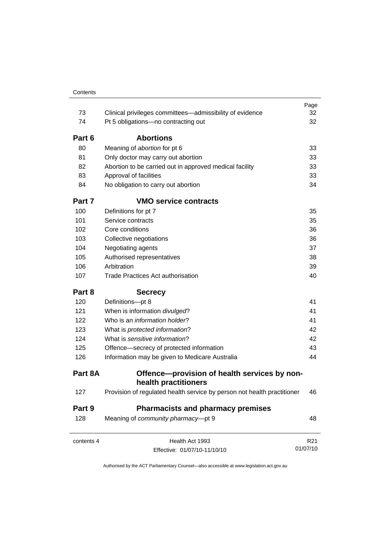|            |                                                                         | Page            |
|------------|-------------------------------------------------------------------------|-----------------|
| 73         | Clinical privileges committees—admissibility of evidence                | 32              |
| 74         | Pt 5 obligations-no contracting out                                     | 32              |
| Part 6     | <b>Abortions</b>                                                        |                 |
| 80         | Meaning of abortion for pt 6                                            | 33              |
| 81         | Only doctor may carry out abortion                                      | 33              |
| 82         | Abortion to be carried out in approved medical facility                 | 33              |
| 83         | Approval of facilities                                                  | 33              |
| 84         | No obligation to carry out abortion                                     | 34              |
| Part 7     | <b>VMO service contracts</b>                                            |                 |
| 100        | Definitions for pt 7                                                    | 35              |
| 101        | Service contracts                                                       | 35              |
| 102        | Core conditions                                                         | 36              |
| 103        | Collective negotiations                                                 | 36              |
| 104        | Negotiating agents                                                      | 37              |
| 105        | Authorised representatives                                              | 38              |
| 106        | Arbitration                                                             | 39              |
| 107        | <b>Trade Practices Act authorisation</b>                                | 40              |
| Part 8     | <b>Secrecy</b>                                                          |                 |
| 120        | Definitions-pt 8                                                        | 41              |
| 121        | When is information divulged?                                           | 41              |
| 122        | Who is an <i>information holder</i> ?                                   | 41              |
| 123        | What is protected information?                                          | 42              |
| 124        | What is sensitive information?                                          | 42              |
| 125        | Offence-secrecy of protected information                                | 43              |
| 126        | Information may be given to Medicare Australia                          | 44              |
| Part 8A    | Offence—provision of health services by non-<br>health practitioners    |                 |
| 127        | Provision of regulated health service by person not health practitioner | 46              |
| Part 9     | <b>Pharmacists and pharmacy premises</b>                                |                 |
| 128        | Meaning of community pharmacy-pt 9                                      | 48              |
| contents 4 | Health Act 1993                                                         | R <sub>21</sub> |
|            | Effective: 01/07/10-11/10/10                                            | 01/07/10        |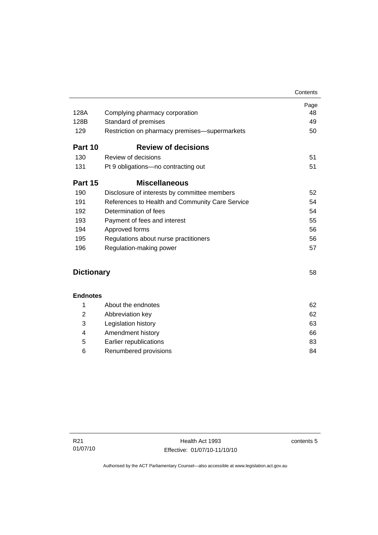|                   |                                                 | Contents |
|-------------------|-------------------------------------------------|----------|
|                   |                                                 | Page     |
| 128A              | Complying pharmacy corporation                  | 48       |
| 128B              | Standard of premises                            | 49       |
| 129               | Restriction on pharmacy premises-supermarkets   | 50       |
| Part 10           | <b>Review of decisions</b>                      |          |
| 130               | Review of decisions                             | 51       |
| 131               | Pt 9 obligations—no contracting out             | 51       |
| Part 15           | <b>Miscellaneous</b>                            |          |
| 190               | Disclosure of interests by committee members    | 52       |
| 191               | References to Health and Community Care Service | 54       |
| 192               | Determination of fees                           | 54       |
| 193               | Payment of fees and interest                    | 55       |
| 194               | Approved forms                                  | 56       |
| 195               | Regulations about nurse practitioners           | 56       |
| 196               | Regulation-making power                         | 57       |
|                   |                                                 |          |
| <b>Dictionary</b> |                                                 | 58       |
|                   |                                                 |          |
|                   |                                                 |          |

| <b>Endnotes</b> |
|-----------------|
|-----------------|

|   | About the endnotes     | 62 |
|---|------------------------|----|
| 2 | Abbreviation key       | 62 |
| 3 | Legislation history    | 63 |
| 4 | Amendment history      | 66 |
| 5 | Earlier republications | 83 |
| 6 | Renumbered provisions  | 84 |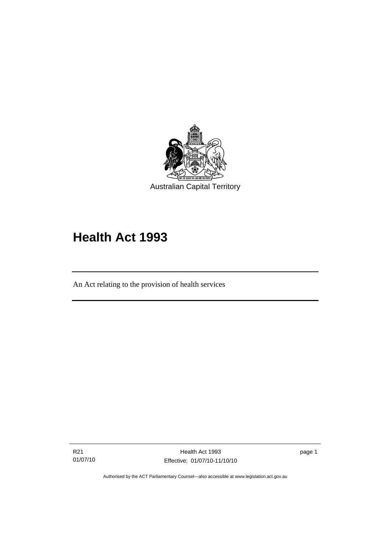<span id="page-8-0"></span>

# **Health Act 1993**

An Act relating to the provision of health services

R21 01/07/10

Ī

page 1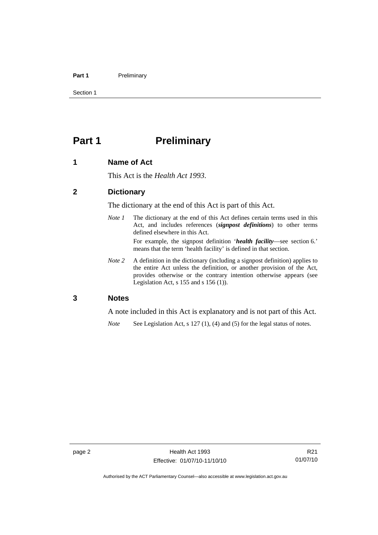#### <span id="page-9-0"></span>Part 1 **Preliminary**

Section 1

# **Part 1** Preliminary

### **1 Name of Act**

This Act is the *Health Act 1993*.

# **2 Dictionary**

The dictionary at the end of this Act is part of this Act.

*Note 1* The dictionary at the end of this Act defines certain terms used in this Act, and includes references (*signpost definitions*) to other terms defined elsewhere in this Act. For example, the signpost definition '*health facility*—see section 6.'

means that the term 'health facility' is defined in that section.

*Note 2* A definition in the dictionary (including a signpost definition) applies to the entire Act unless the definition, or another provision of the Act, provides otherwise or the contrary intention otherwise appears (see Legislation Act, s  $155$  and s  $156$  (1)).

# **3 Notes**

A note included in this Act is explanatory and is not part of this Act.

*Note* See Legislation Act, s 127 (1), (4) and (5) for the legal status of notes.

Authorised by the ACT Parliamentary Counsel—also accessible at www.legislation.act.gov.au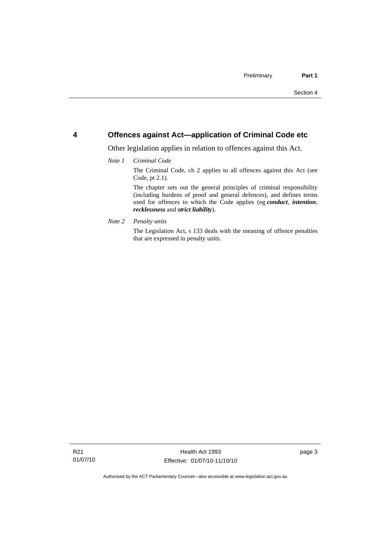# <span id="page-10-0"></span>**4 Offences against Act—application of Criminal Code etc**

Other legislation applies in relation to offences against this Act.

#### *Note 1 Criminal Code*

The Criminal Code, ch 2 applies to all offences against this Act (see Code, pt 2.1).

The chapter sets out the general principles of criminal responsibility (including burdens of proof and general defences), and defines terms used for offences to which the Code applies (eg *conduct*, *intention*, *recklessness* and *strict liability*).

*Note 2 Penalty units* 

The Legislation Act, s 133 deals with the meaning of offence penalties that are expressed in penalty units.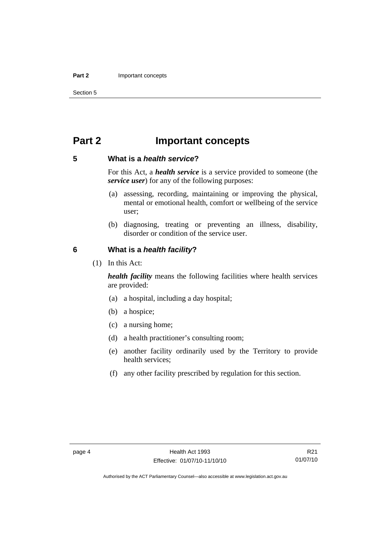#### <span id="page-11-0"></span>**Part 2** Important concepts

Section 5

# **Part 2 Important concepts**

# **5 What is a** *health service***?**

For this Act, a *health service* is a service provided to someone (the *service user*) for any of the following purposes:

- (a) assessing, recording, maintaining or improving the physical, mental or emotional health, comfort or wellbeing of the service user;
- (b) diagnosing, treating or preventing an illness, disability, disorder or condition of the service user.

### **6 What is a** *health facility***?**

(1) In this Act:

*health facility* means the following facilities where health services are provided:

- (a) a hospital, including a day hospital;
- (b) a hospice;
- (c) a nursing home;
- (d) a health practitioner's consulting room;
- (e) another facility ordinarily used by the Territory to provide health services;
- (f) any other facility prescribed by regulation for this section.

R21 01/07/10

Authorised by the ACT Parliamentary Counsel—also accessible at www.legislation.act.gov.au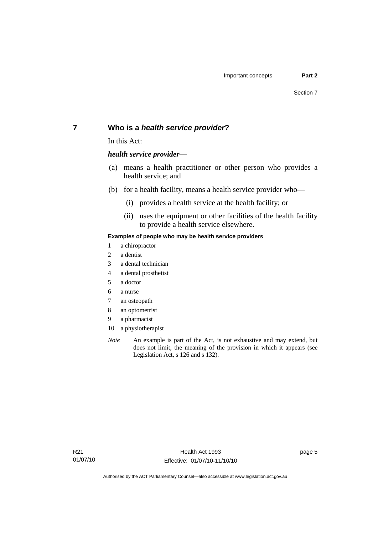# <span id="page-12-0"></span>**7 Who is a** *health service provider***?**

In this Act:

#### *health service provider*—

- (a) means a health practitioner or other person who provides a health service; and
- (b) for a health facility, means a health service provider who—
	- (i) provides a health service at the health facility; or
	- (ii) uses the equipment or other facilities of the health facility to provide a health service elsewhere.

#### **Examples of people who may be health service providers**

- 1 a chiropractor
- 2 a dentist
- 3 a dental technician
- 4 a dental prosthetist
- 5 a doctor
- 6 a nurse
- 7 an osteopath
- 8 an optometrist
- 9 a pharmacist
- 10 a physiotherapist
- *Note* An example is part of the Act, is not exhaustive and may extend, but does not limit, the meaning of the provision in which it appears (see Legislation Act, s 126 and s 132).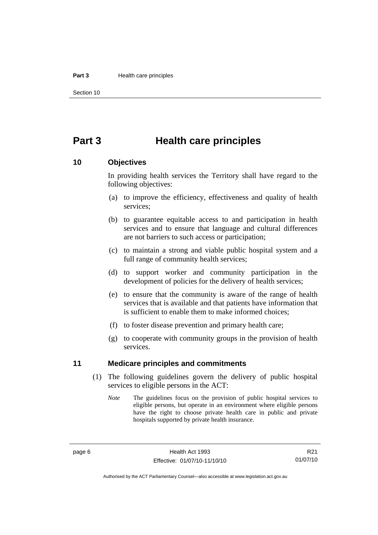#### <span id="page-13-0"></span>**Part 3 Health care principles**

Section 10

# **Part 3 Health care principles**

### **10 Objectives**

In providing health services the Territory shall have regard to the following objectives:

- (a) to improve the efficiency, effectiveness and quality of health services;
- (b) to guarantee equitable access to and participation in health services and to ensure that language and cultural differences are not barriers to such access or participation;
- (c) to maintain a strong and viable public hospital system and a full range of community health services;
- (d) to support worker and community participation in the development of policies for the delivery of health services;
- (e) to ensure that the community is aware of the range of health services that is available and that patients have information that is sufficient to enable them to make informed choices;
- (f) to foster disease prevention and primary health care;
- (g) to cooperate with community groups in the provision of health services.

### **11 Medicare principles and commitments**

- (1) The following guidelines govern the delivery of public hospital services to eligible persons in the ACT:
	- *Note* The guidelines focus on the provision of public hospital services to eligible persons, but operate in an environment where eligible persons have the right to choose private health care in public and private hospitals supported by private health insurance.

R21 01/07/10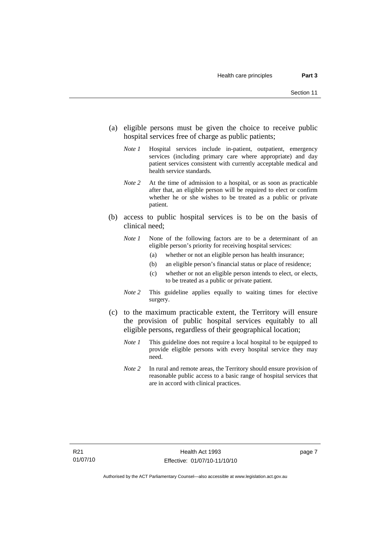- (a) eligible persons must be given the choice to receive public hospital services free of charge as public patients;
	- *Note 1* Hospital services include in-patient, outpatient, emergency services (including primary care where appropriate) and day patient services consistent with currently acceptable medical and health service standards.
	- *Note 2* At the time of admission to a hospital, or as soon as practicable after that, an eligible person will be required to elect or confirm whether he or she wishes to be treated as a public or private patient.
- (b) access to public hospital services is to be on the basis of clinical need;
	- *Note 1* None of the following factors are to be a determinant of an eligible person's priority for receiving hospital services:
		- (a) whether or not an eligible person has health insurance;
		- (b) an eligible person's financial status or place of residence;
		- (c) whether or not an eligible person intends to elect, or elects, to be treated as a public or private patient.
	- *Note 2* This guideline applies equally to waiting times for elective surgery.
- (c) to the maximum practicable extent, the Territory will ensure the provision of public hospital services equitably to all eligible persons, regardless of their geographical location;
	- *Note 1* This guideline does not require a local hospital to be equipped to provide eligible persons with every hospital service they may need.
	- *Note 2* In rural and remote areas, the Territory should ensure provision of reasonable public access to a basic range of hospital services that are in accord with clinical practices.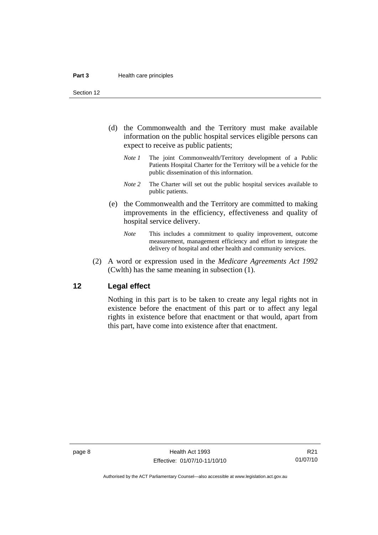<span id="page-15-0"></span>Section 12

- (d) the Commonwealth and the Territory must make available information on the public hospital services eligible persons can expect to receive as public patients;
	- *Note 1* The joint Commonwealth/Territory development of a Public Patients Hospital Charter for the Territory will be a vehicle for the public dissemination of this information.
	- *Note 2* The Charter will set out the public hospital services available to public patients.
- (e) the Commonwealth and the Territory are committed to making improvements in the efficiency, effectiveness and quality of hospital service delivery.
	- *Note* This includes a commitment to quality improvement, outcome measurement, management efficiency and effort to integrate the delivery of hospital and other health and community services.
- (2) A word or expression used in the *Medicare Agreements Act 1992* (Cwlth) has the same meaning in subsection (1).

### **12 Legal effect**

Nothing in this part is to be taken to create any legal rights not in existence before the enactment of this part or to affect any legal rights in existence before that enactment or that would, apart from this part, have come into existence after that enactment.

R21 01/07/10

Authorised by the ACT Parliamentary Counsel—also accessible at www.legislation.act.gov.au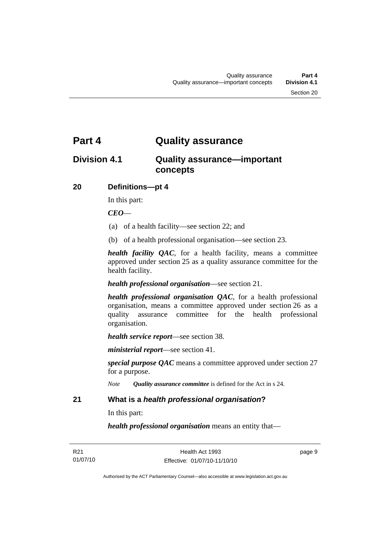# <span id="page-16-0"></span>**Part 4 Quality assurance**

# **Division 4.1 Quality assurance—important concepts**

# **20 Definitions—pt 4**

In this part:

# *CEO*—

- (a) of a health facility—see section 22; and
- (b) of a health professional organisation—see section 23.

*health facility QAC*, for a health facility, means a committee approved under section 25 as a quality assurance committee for the health facility.

*health professional organisation*—see section 21.

*health professional organisation QAC*, for a health professional organisation, means a committee approved under section 26 as a quality assurance committee for the health professional organisation.

*health service report*—see section 38.

*ministerial report*—see section 41.

*special purpose QAC* means a committee approved under section 27 for a purpose.

*Note Quality assurance committee* is defined for the Act in s 24.

# **21 What is a** *health professional organisation***?**

In this part:

*health professional organisation* means an entity that—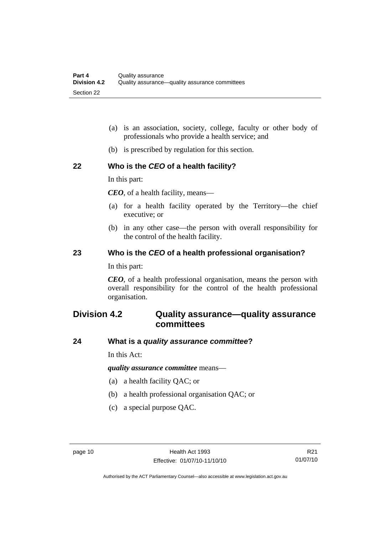- <span id="page-17-0"></span> (a) is an association, society, college, faculty or other body of professionals who provide a health service; and
- (b) is prescribed by regulation for this section.

# **22 Who is the** *CEO* **of a health facility?**

In this part:

*CEO*, of a health facility, means—

- (a) for a health facility operated by the Territory—the chief executive; or
- (b) in any other case—the person with overall responsibility for the control of the health facility.

# **23 Who is the** *CEO* **of a health professional organisation?**

In this part:

*CEO*, of a health professional organisation, means the person with overall responsibility for the control of the health professional organisation.

# **Division 4.2 Quality assurance—quality assurance committees**

# **24 What is a** *quality assurance committee***?**

In this Act:

*quality assurance committee* means—

- (a) a health facility QAC; or
- (b) a health professional organisation QAC; or
- (c) a special purpose QAC.

Authorised by the ACT Parliamentary Counsel—also accessible at www.legislation.act.gov.au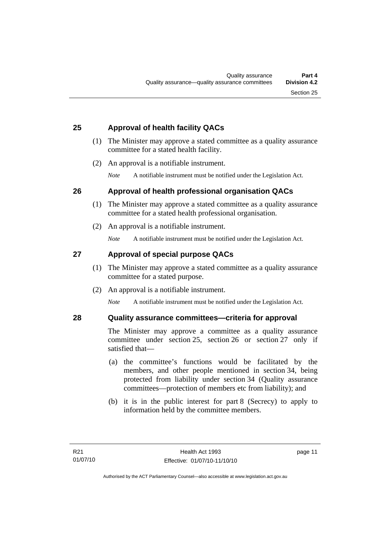# <span id="page-18-0"></span>**25 Approval of health facility QACs**

- (1) The Minister may approve a stated committee as a quality assurance committee for a stated health facility.
- (2) An approval is a notifiable instrument.

*Note* A notifiable instrument must be notified under the Legislation Act.

# **26 Approval of health professional organisation QACs**

- (1) The Minister may approve a stated committee as a quality assurance committee for a stated health professional organisation.
- (2) An approval is a notifiable instrument.

*Note* A notifiable instrument must be notified under the Legislation Act.

# **27 Approval of special purpose QACs**

- (1) The Minister may approve a stated committee as a quality assurance committee for a stated purpose.
- (2) An approval is a notifiable instrument.

*Note* A notifiable instrument must be notified under the Legislation Act.

# **28 Quality assurance committees—criteria for approval**

The Minister may approve a committee as a quality assurance committee under section 25, section 26 or section 27 only if satisfied that—

- (a) the committee's functions would be facilitated by the members, and other people mentioned in section 34, being protected from liability under section 34 (Quality assurance committees—protection of members etc from liability); and
- (b) it is in the public interest for part 8 (Secrecy) to apply to information held by the committee members.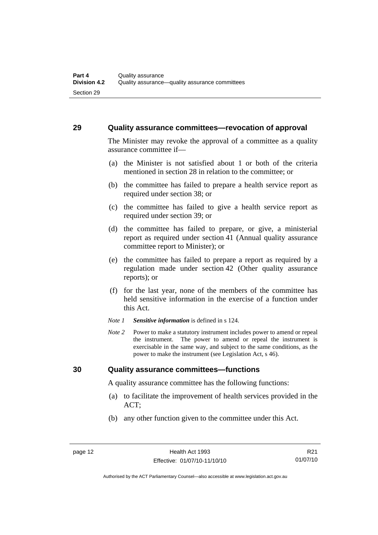### <span id="page-19-0"></span>**29 Quality assurance committees—revocation of approval**

The Minister may revoke the approval of a committee as a quality assurance committee if—

- (a) the Minister is not satisfied about 1 or both of the criteria mentioned in section 28 in relation to the committee; or
- (b) the committee has failed to prepare a health service report as required under section 38; or
- (c) the committee has failed to give a health service report as required under section 39; or
- (d) the committee has failed to prepare, or give, a ministerial report as required under section 41 (Annual quality assurance committee report to Minister); or
- (e) the committee has failed to prepare a report as required by a regulation made under section 42 (Other quality assurance reports); or
- (f) for the last year, none of the members of the committee has held sensitive information in the exercise of a function under this Act.
- *Note 1 Sensitive information* is defined in s 124.
- *Note 2* Power to make a statutory instrument includes power to amend or repeal the instrument. The power to amend or repeal the instrument is exercisable in the same way, and subject to the same conditions, as the power to make the instrument (see Legislation Act, s 46).

### **30 Quality assurance committees—functions**

A quality assurance committee has the following functions:

- (a) to facilitate the improvement of health services provided in the ACT;
- (b) any other function given to the committee under this Act.

R21 01/07/10

Authorised by the ACT Parliamentary Counsel—also accessible at www.legislation.act.gov.au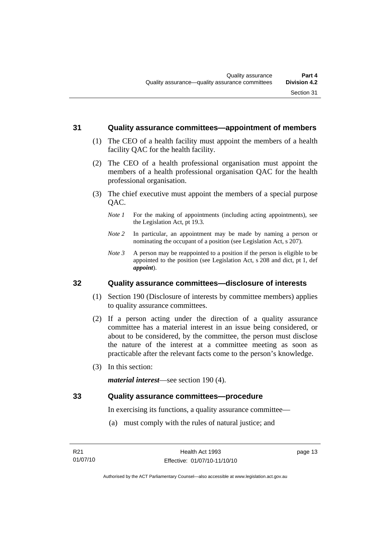### <span id="page-20-0"></span>**31 Quality assurance committees—appointment of members**

- (1) The CEO of a health facility must appoint the members of a health facility QAC for the health facility.
- (2) The CEO of a health professional organisation must appoint the members of a health professional organisation QAC for the health professional organisation.
- (3) The chief executive must appoint the members of a special purpose OAC.
	- *Note 1* For the making of appointments (including acting appointments), see the Legislation Act, pt 19.3.
	- *Note 2* In particular, an appointment may be made by naming a person or nominating the occupant of a position (see Legislation Act, s 207).
	- *Note 3* A person may be reappointed to a position if the person is eligible to be appointed to the position (see Legislation Act, s 208 and dict, pt 1, def *appoint*).

# **32 Quality assurance committees—disclosure of interests**

- (1) Section 190 (Disclosure of interests by committee members) applies to quality assurance committees.
- (2) If a person acting under the direction of a quality assurance committee has a material interest in an issue being considered, or about to be considered, by the committee, the person must disclose the nature of the interest at a committee meeting as soon as practicable after the relevant facts come to the person's knowledge.
- (3) In this section:

*material interest*—see section 190 (4).

### **33 Quality assurance committees—procedure**

In exercising its functions, a quality assurance committee—

(a) must comply with the rules of natural justice; and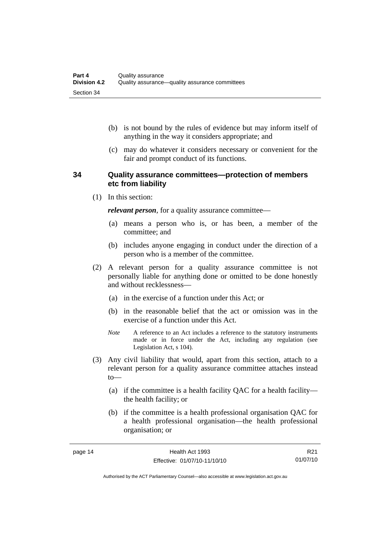- <span id="page-21-0"></span> (b) is not bound by the rules of evidence but may inform itself of anything in the way it considers appropriate; and
- (c) may do whatever it considers necessary or convenient for the fair and prompt conduct of its functions.

# **34 Quality assurance committees—protection of members etc from liability**

(1) In this section:

*relevant person*, for a quality assurance committee—

- (a) means a person who is, or has been, a member of the committee; and
- (b) includes anyone engaging in conduct under the direction of a person who is a member of the committee.
- (2) A relevant person for a quality assurance committee is not personally liable for anything done or omitted to be done honestly and without recklessness—
	- (a) in the exercise of a function under this Act; or
	- (b) in the reasonable belief that the act or omission was in the exercise of a function under this Act.
	- *Note* A reference to an Act includes a reference to the statutory instruments made or in force under the Act, including any regulation (see Legislation Act, s 104).
- (3) Any civil liability that would, apart from this section, attach to a relevant person for a quality assurance committee attaches instead to—
	- (a) if the committee is a health facility QAC for a health facility the health facility; or
	- (b) if the committee is a health professional organisation QAC for a health professional organisation—the health professional organisation; or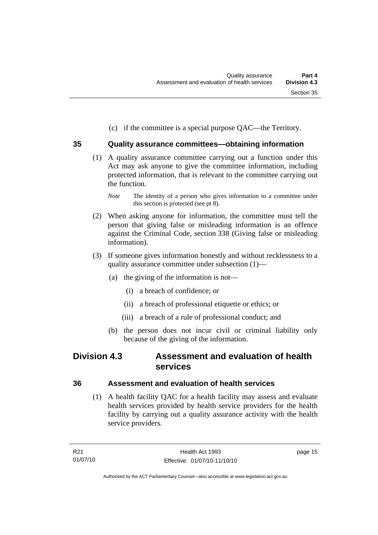(c) if the committee is a special purpose QAC—the Territory.

# <span id="page-22-0"></span>**35 Quality assurance committees—obtaining information**

- (1) A quality assurance committee carrying out a function under this Act may ask anyone to give the committee information, including protected information, that is relevant to the committee carrying out the function.
	- *Note* The identity of a person who gives information to a committee under this section is protected (see pt 8).
- (2) When asking anyone for information, the committee must tell the person that giving false or misleading information is an offence against the Criminal Code, section 338 (Giving false or misleading information).
- (3) If someone gives information honestly and without recklessness to a quality assurance committee under subsection (1)—
	- (a) the giving of the information is not—
		- (i) a breach of confidence; or
		- (ii) a breach of professional etiquette or ethics; or
		- (iii) a breach of a rule of professional conduct; and
	- (b) the person does not incur civil or criminal liability only because of the giving of the information.

# **Division 4.3 Assessment and evaluation of health services**

# **36 Assessment and evaluation of health services**

 (1) A health facility QAC for a health facility may assess and evaluate health services provided by health service providers for the health facility by carrying out a quality assurance activity with the health service providers.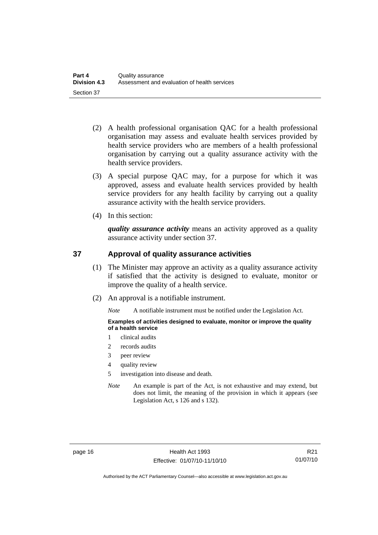- <span id="page-23-0"></span> (2) A health professional organisation QAC for a health professional organisation may assess and evaluate health services provided by health service providers who are members of a health professional organisation by carrying out a quality assurance activity with the health service providers.
- (3) A special purpose QAC may, for a purpose for which it was approved, assess and evaluate health services provided by health service providers for any health facility by carrying out a quality assurance activity with the health service providers.
- (4) In this section:

*quality assurance activity* means an activity approved as a quality assurance activity under section 37.

# **37 Approval of quality assurance activities**

- (1) The Minister may approve an activity as a quality assurance activity if satisfied that the activity is designed to evaluate, monitor or improve the quality of a health service.
- (2) An approval is a notifiable instrument.

*Note* A notifiable instrument must be notified under the Legislation Act.

**Examples of activities designed to evaluate, monitor or improve the quality of a health service** 

- 1 clinical audits
- 2 records audits
- 3 peer review
- 4 quality review
- 5 investigation into disease and death.
- *Note* An example is part of the Act, is not exhaustive and may extend, but does not limit, the meaning of the provision in which it appears (see Legislation Act, s 126 and s 132).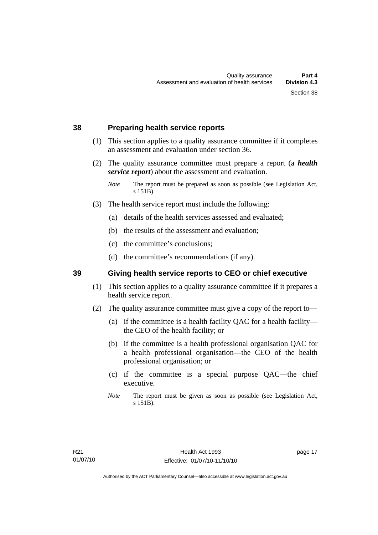# <span id="page-24-0"></span>**38 Preparing health service reports**

- (1) This section applies to a quality assurance committee if it completes an assessment and evaluation under section 36.
- (2) The quality assurance committee must prepare a report (a *health service report*) about the assessment and evaluation.

- (3) The health service report must include the following:
	- (a) details of the health services assessed and evaluated;
	- (b) the results of the assessment and evaluation;
	- (c) the committee's conclusions;
	- (d) the committee's recommendations (if any).

# **39 Giving health service reports to CEO or chief executive**

- (1) This section applies to a quality assurance committee if it prepares a health service report.
- (2) The quality assurance committee must give a copy of the report to—
	- (a) if the committee is a health facility QAC for a health facility the CEO of the health facility; or
	- (b) if the committee is a health professional organisation QAC for a health professional organisation—the CEO of the health professional organisation; or
	- (c) if the committee is a special purpose QAC—the chief executive.
	- *Note* The report must be given as soon as possible (see Legislation Act, s 151B).

*Note* The report must be prepared as soon as possible (see Legislation Act, s 151B).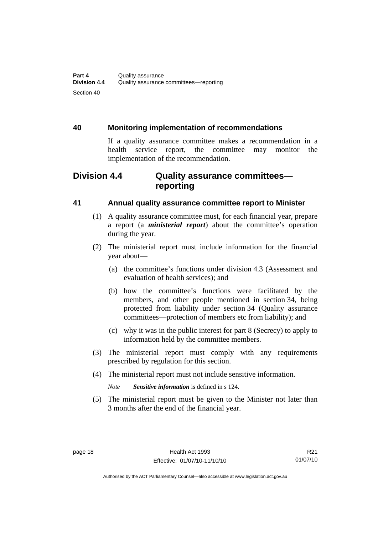# <span id="page-25-0"></span>**40 Monitoring implementation of recommendations**

If a quality assurance committee makes a recommendation in a health service report, the committee may monitor the implementation of the recommendation.

# **Division 4.4 Quality assurance committees reporting**

# **41 Annual quality assurance committee report to Minister**

- (1) A quality assurance committee must, for each financial year, prepare a report (a *ministerial report*) about the committee's operation during the year.
- (2) The ministerial report must include information for the financial year about—
	- (a) the committee's functions under division 4.3 (Assessment and evaluation of health services); and
	- (b) how the committee's functions were facilitated by the members, and other people mentioned in section 34, being protected from liability under section 34 (Quality assurance committees—protection of members etc from liability); and
	- (c) why it was in the public interest for part 8 (Secrecy) to apply to information held by the committee members.
- (3) The ministerial report must comply with any requirements prescribed by regulation for this section.
- (4) The ministerial report must not include sensitive information.

*Note Sensitive information* is defined in s 124.

 (5) The ministerial report must be given to the Minister not later than 3 months after the end of the financial year.

Authorised by the ACT Parliamentary Counsel—also accessible at www.legislation.act.gov.au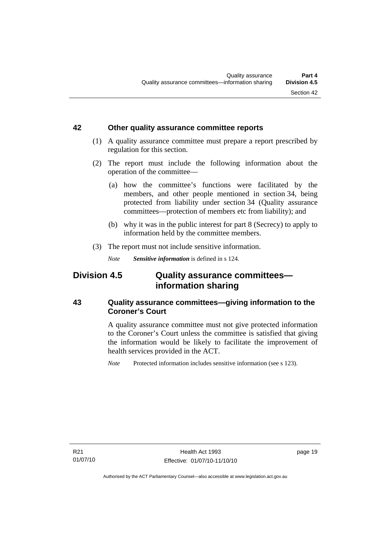### <span id="page-26-0"></span>**42 Other quality assurance committee reports**

- (1) A quality assurance committee must prepare a report prescribed by regulation for this section.
- (2) The report must include the following information about the operation of the committee—
	- (a) how the committee's functions were facilitated by the members, and other people mentioned in section 34, being protected from liability under section 34 (Quality assurance committees—protection of members etc from liability); and
	- (b) why it was in the public interest for part 8 (Secrecy) to apply to information held by the committee members.
- (3) The report must not include sensitive information.

*Note Sensitive information* is defined in s 124.

# **Division 4.5 Quality assurance committees information sharing**

# **43 Quality assurance committees—giving information to the Coroner's Court**

A quality assurance committee must not give protected information to the Coroner's Court unless the committee is satisfied that giving the information would be likely to facilitate the improvement of health services provided in the ACT.

*Note* Protected information includes sensitive information (see s 123).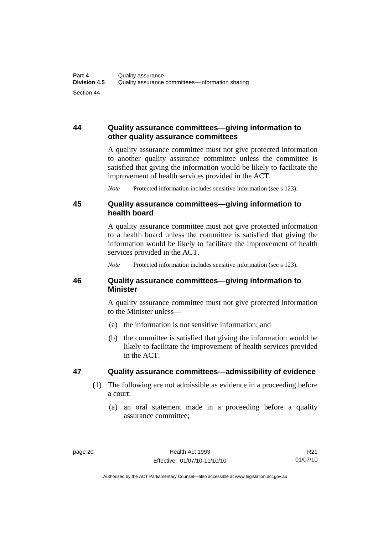# <span id="page-27-0"></span>**44 Quality assurance committees—giving information to other quality assurance committees**

A quality assurance committee must not give protected information to another quality assurance committee unless the committee is satisfied that giving the information would be likely to facilitate the improvement of health services provided in the ACT.

*Note* Protected information includes sensitive information (see s 123).

# **45 Quality assurance committees—giving information to health board**

A quality assurance committee must not give protected information to a health board unless the committee is satisfied that giving the information would be likely to facilitate the improvement of health services provided in the ACT.

*Note* Protected information includes sensitive information (see s 123).

# **46 Quality assurance committees—giving information to Minister**

A quality assurance committee must not give protected information to the Minister unless—

- (a) the information is not sensitive information; and
- (b) the committee is satisfied that giving the information would be likely to facilitate the improvement of health services provided in the ACT.

# **47 Quality assurance committees—admissibility of evidence**

- (1) The following are not admissible as evidence in a proceeding before a court:
	- (a) an oral statement made in a proceeding before a quality assurance committee;

Authorised by the ACT Parliamentary Counsel—also accessible at www.legislation.act.gov.au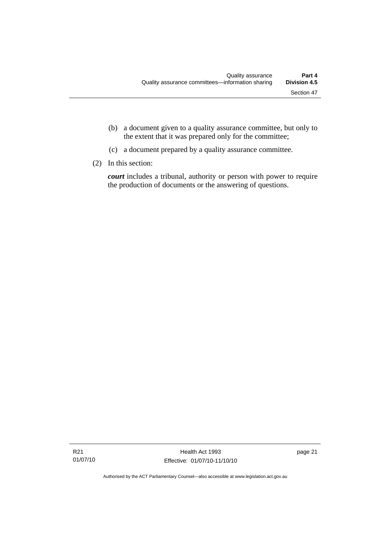- (b) a document given to a quality assurance committee, but only to the extent that it was prepared only for the committee;
- (c) a document prepared by a quality assurance committee.
- (2) In this section:

*court* includes a tribunal, authority or person with power to require the production of documents or the answering of questions.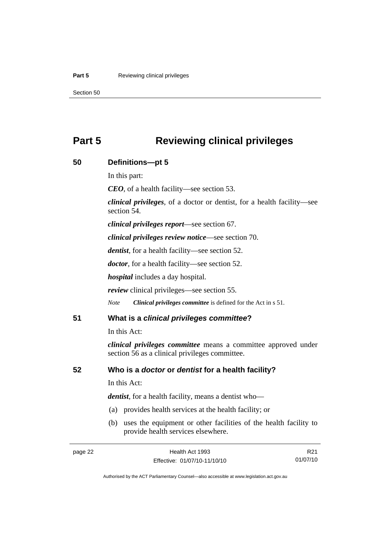#### <span id="page-29-0"></span>**Part 5 Reviewing clinical privileges**

Section 50

# **Part 5 Reviewing clinical privileges**

| 50 | Definitions-pt 5                                                                                                        |
|----|-------------------------------------------------------------------------------------------------------------------------|
|    | In this part:                                                                                                           |
|    | $CEO$ , of a health facility—see section 53.                                                                            |
|    | <i>clinical privileges</i> , of a doctor or dentist, for a health facility—see<br>section 54.                           |
|    | <i>clinical privileges report—see section 67.</i>                                                                       |
|    | <i>clinical privileges review notice—see section 70.</i>                                                                |
|    | <i>dentist</i> , for a health facility—see section 52.                                                                  |
|    | <i>doctor</i> , for a health facility—see section 52.                                                                   |
|    | <i>hospital</i> includes a day hospital.                                                                                |
|    | <i>review</i> clinical privileges—see section 55.                                                                       |
|    | <b>Note</b><br>Clinical privileges committee is defined for the Act in s 51.                                            |
| 51 | What is a clinical privileges committee?                                                                                |
|    | In this Act:                                                                                                            |
|    | <i>clinical privileges committee</i> means a committee approved under<br>section 56 as a clinical privileges committee. |
| 52 | Who is a doctor or dentist for a health facility?                                                                       |
|    | In this Act:                                                                                                            |
|    | <i>dentist</i> , for a health facility, means a dentist who-                                                            |
|    | (a) provides health services at the health facility; or                                                                 |
|    | uses the equipment or other facilities of the health facility to<br>(b)<br>provide health services elsewhere.           |

R21 01/07/10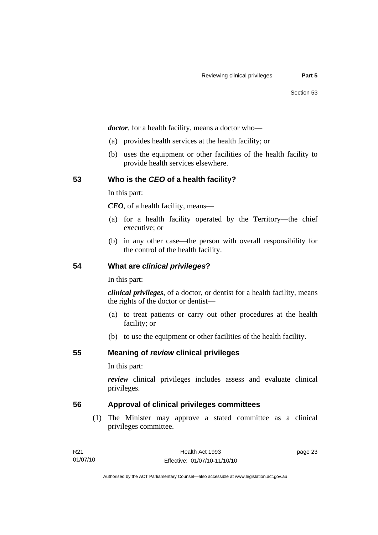<span id="page-30-0"></span>*doctor*, for a health facility, means a doctor who—

- (a) provides health services at the health facility; or
- (b) uses the equipment or other facilities of the health facility to provide health services elsewhere.

# **53 Who is the** *CEO* **of a health facility?**

In this part:

*CEO*, of a health facility, means—

- (a) for a health facility operated by the Territory—the chief executive; or
- (b) in any other case—the person with overall responsibility for the control of the health facility.

# **54 What are** *clinical privileges***?**

In this part:

*clinical privileges*, of a doctor, or dentist for a health facility, means the rights of the doctor or dentist—

- (a) to treat patients or carry out other procedures at the health facility; or
- (b) to use the equipment or other facilities of the health facility.

**55 Meaning of** *review* **clinical privileges** 

In this part:

*review* clinical privileges includes assess and evaluate clinical privileges.

# **56 Approval of clinical privileges committees**

 (1) The Minister may approve a stated committee as a clinical privileges committee.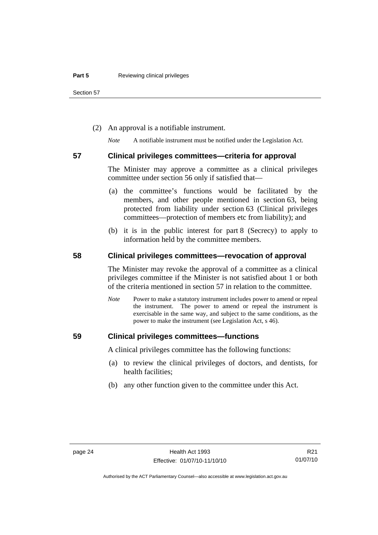<span id="page-31-0"></span>Section 57

(2) An approval is a notifiable instrument.

*Note* A notifiable instrument must be notified under the Legislation Act.

#### **57 Clinical privileges committees—criteria for approval**

The Minister may approve a committee as a clinical privileges committee under section 56 only if satisfied that—

- (a) the committee's functions would be facilitated by the members, and other people mentioned in section 63, being protected from liability under section 63 (Clinical privileges committees—protection of members etc from liability); and
- (b) it is in the public interest for part 8 (Secrecy) to apply to information held by the committee members.

# **58 Clinical privileges committees—revocation of approval**

The Minister may revoke the approval of a committee as a clinical privileges committee if the Minister is not satisfied about 1 or both of the criteria mentioned in section 57 in relation to the committee.

*Note* Power to make a statutory instrument includes power to amend or repeal the instrument. The power to amend or repeal the instrument is exercisable in the same way, and subject to the same conditions, as the power to make the instrument (see Legislation Act, s 46).

### **59 Clinical privileges committees—functions**

A clinical privileges committee has the following functions:

- (a) to review the clinical privileges of doctors, and dentists, for health facilities;
- (b) any other function given to the committee under this Act.

R21 01/07/10

Authorised by the ACT Parliamentary Counsel—also accessible at www.legislation.act.gov.au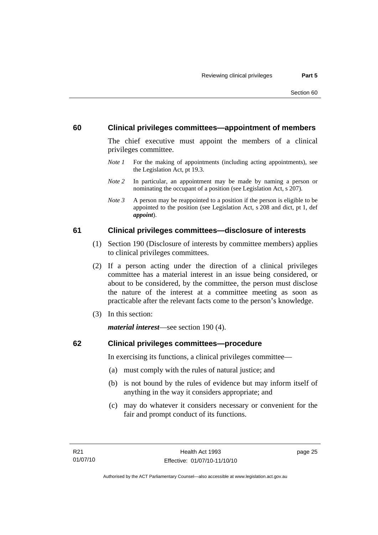# <span id="page-32-0"></span>**60 Clinical privileges committees—appointment of members**

The chief executive must appoint the members of a clinical privileges committee.

- *Note 1* For the making of appointments (including acting appointments), see the Legislation Act, pt 19.3.
- *Note 2* In particular, an appointment may be made by naming a person or nominating the occupant of a position (see Legislation Act, s 207).
- *Note 3* A person may be reappointed to a position if the person is eligible to be appointed to the position (see Legislation Act, s 208 and dict, pt 1, def *appoint*).

# **61 Clinical privileges committees—disclosure of interests**

- (1) Section 190 (Disclosure of interests by committee members) applies to clinical privileges committees.
- (2) If a person acting under the direction of a clinical privileges committee has a material interest in an issue being considered, or about to be considered, by the committee, the person must disclose the nature of the interest at a committee meeting as soon as practicable after the relevant facts come to the person's knowledge.
- (3) In this section:

*material interest*—see section 190 (4).

# **62 Clinical privileges committees—procedure**

In exercising its functions, a clinical privileges committee—

- (a) must comply with the rules of natural justice; and
- (b) is not bound by the rules of evidence but may inform itself of anything in the way it considers appropriate; and
- (c) may do whatever it considers necessary or convenient for the fair and prompt conduct of its functions.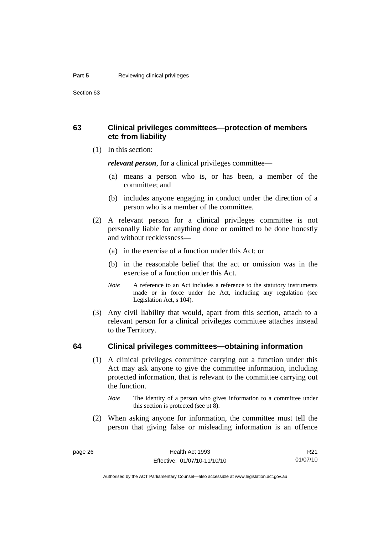<span id="page-33-0"></span>Section 63

# **63 Clinical privileges committees—protection of members etc from liability**

(1) In this section:

*relevant person*, for a clinical privileges committee—

- (a) means a person who is, or has been, a member of the committee; and
- (b) includes anyone engaging in conduct under the direction of a person who is a member of the committee.
- (2) A relevant person for a clinical privileges committee is not personally liable for anything done or omitted to be done honestly and without recklessness—
	- (a) in the exercise of a function under this Act; or
	- (b) in the reasonable belief that the act or omission was in the exercise of a function under this Act.
	- *Note* A reference to an Act includes a reference to the statutory instruments made or in force under the Act, including any regulation (see Legislation Act, s 104).
- (3) Any civil liability that would, apart from this section, attach to a relevant person for a clinical privileges committee attaches instead to the Territory.

# **64 Clinical privileges committees—obtaining information**

 (1) A clinical privileges committee carrying out a function under this Act may ask anyone to give the committee information, including protected information, that is relevant to the committee carrying out the function.

 (2) When asking anyone for information, the committee must tell the person that giving false or misleading information is an offence

*Note* The identity of a person who gives information to a committee under this section is protected (see pt 8).

Authorised by the ACT Parliamentary Counsel—also accessible at www.legislation.act.gov.au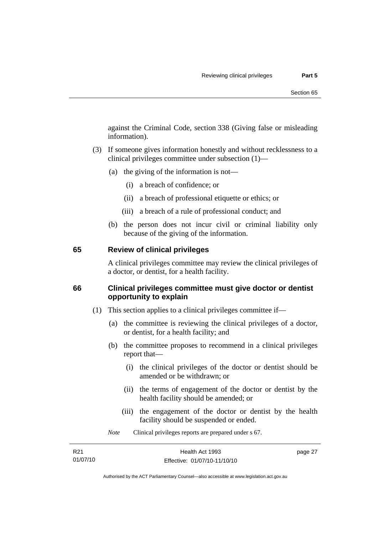<span id="page-34-0"></span>against the Criminal Code, section 338 (Giving false or misleading information).

- (3) If someone gives information honestly and without recklessness to a clinical privileges committee under subsection (1)—
	- (a) the giving of the information is not—
		- (i) a breach of confidence; or
		- (ii) a breach of professional etiquette or ethics; or
		- (iii) a breach of a rule of professional conduct; and
	- (b) the person does not incur civil or criminal liability only because of the giving of the information.

### **65 Review of clinical privileges**

A clinical privileges committee may review the clinical privileges of a doctor, or dentist, for a health facility.

# **66 Clinical privileges committee must give doctor or dentist opportunity to explain**

- (1) This section applies to a clinical privileges committee if—
	- (a) the committee is reviewing the clinical privileges of a doctor, or dentist, for a health facility; and
	- (b) the committee proposes to recommend in a clinical privileges report that—
		- (i) the clinical privileges of the doctor or dentist should be amended or be withdrawn; or
		- (ii) the terms of engagement of the doctor or dentist by the health facility should be amended; or
		- (iii) the engagement of the doctor or dentist by the health facility should be suspended or ended.

*Note* Clinical privileges reports are prepared under s 67.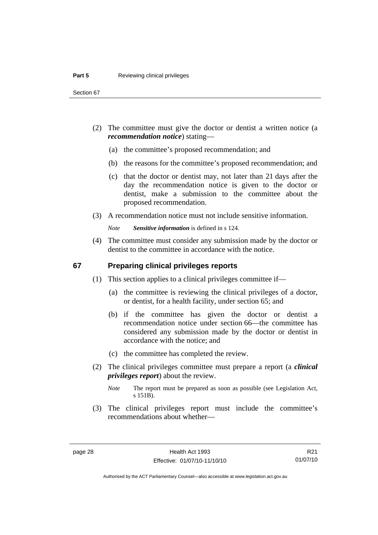- <span id="page-35-0"></span> (2) The committee must give the doctor or dentist a written notice (a *recommendation notice*) stating—
	- (a) the committee's proposed recommendation; and
	- (b) the reasons for the committee's proposed recommendation; and
	- (c) that the doctor or dentist may, not later than 21 days after the day the recommendation notice is given to the doctor or dentist, make a submission to the committee about the proposed recommendation.
- (3) A recommendation notice must not include sensitive information.

*Note Sensitive information* is defined in s 124.

 (4) The committee must consider any submission made by the doctor or dentist to the committee in accordance with the notice.

### **67 Preparing clinical privileges reports**

- (1) This section applies to a clinical privileges committee if—
	- (a) the committee is reviewing the clinical privileges of a doctor, or dentist, for a health facility, under section 65; and
	- (b) if the committee has given the doctor or dentist a recommendation notice under section 66—the committee has considered any submission made by the doctor or dentist in accordance with the notice; and
	- (c) the committee has completed the review.
- (2) The clinical privileges committee must prepare a report (a *clinical privileges report*) about the review.

 (3) The clinical privileges report must include the committee's recommendations about whether—

*Note* The report must be prepared as soon as possible (see Legislation Act, s 151B).

R21 01/07/10

Authorised by the ACT Parliamentary Counsel—also accessible at www.legislation.act.gov.au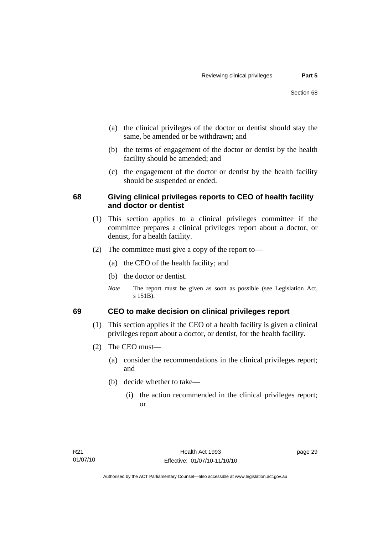- (a) the clinical privileges of the doctor or dentist should stay the same, be amended or be withdrawn; and
- (b) the terms of engagement of the doctor or dentist by the health facility should be amended; and
- (c) the engagement of the doctor or dentist by the health facility should be suspended or ended.

### **68 Giving clinical privileges reports to CEO of health facility and doctor or dentist**

- (1) This section applies to a clinical privileges committee if the committee prepares a clinical privileges report about a doctor, or dentist, for a health facility.
- (2) The committee must give a copy of the report to—
	- (a) the CEO of the health facility; and
	- (b) the doctor or dentist.
	- *Note* The report must be given as soon as possible (see Legislation Act, s 151B).

### **69 CEO to make decision on clinical privileges report**

- (1) This section applies if the CEO of a health facility is given a clinical privileges report about a doctor, or dentist, for the health facility.
- (2) The CEO must—
	- (a) consider the recommendations in the clinical privileges report; and
	- (b) decide whether to take—
		- (i) the action recommended in the clinical privileges report; or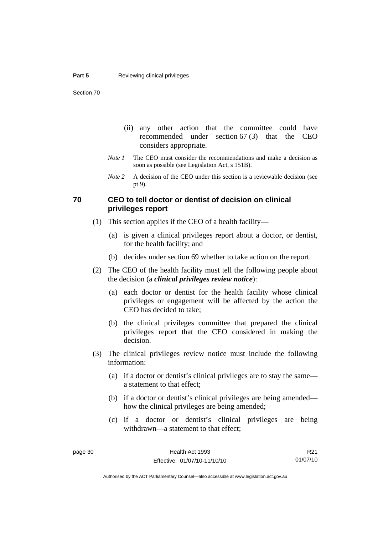- (ii) any other action that the committee could have recommended under section 67 (3) that the CEO considers appropriate.
- *Note 1* The CEO must consider the recommendations and make a decision as soon as possible (see Legislation Act, s 151B).
- *Note 2* A decision of the CEO under this section is a reviewable decision (see pt 9).

#### **70 CEO to tell doctor or dentist of decision on clinical privileges report**

- (1) This section applies if the CEO of a health facility—
	- (a) is given a clinical privileges report about a doctor, or dentist, for the health facility; and
	- (b) decides under section 69 whether to take action on the report.
- (2) The CEO of the health facility must tell the following people about the decision (a *clinical privileges review notice*):
	- (a) each doctor or dentist for the health facility whose clinical privileges or engagement will be affected by the action the CEO has decided to take;
	- (b) the clinical privileges committee that prepared the clinical privileges report that the CEO considered in making the decision.
- (3) The clinical privileges review notice must include the following information:
	- (a) if a doctor or dentist's clinical privileges are to stay the same a statement to that effect;
	- (b) if a doctor or dentist's clinical privileges are being amended how the clinical privileges are being amended;
	- (c) if a doctor or dentist's clinical privileges are being withdrawn—a statement to that effect;

R21 01/07/10

Authorised by the ACT Parliamentary Counsel—also accessible at www.legislation.act.gov.au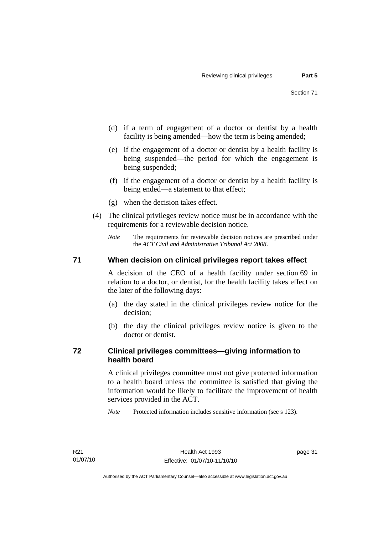- (d) if a term of engagement of a doctor or dentist by a health facility is being amended—how the term is being amended;
- (e) if the engagement of a doctor or dentist by a health facility is being suspended—the period for which the engagement is being suspended;
- (f) if the engagement of a doctor or dentist by a health facility is being ended—a statement to that effect;
- (g) when the decision takes effect.
- (4) The clinical privileges review notice must be in accordance with the requirements for a reviewable decision notice.
	- *Note* The requirements for reviewable decision notices are prescribed under the *ACT Civil and Administrative Tribunal Act 2008*.

#### **71 When decision on clinical privileges report takes effect**

A decision of the CEO of a health facility under section 69 in relation to a doctor, or dentist, for the health facility takes effect on the later of the following days:

- (a) the day stated in the clinical privileges review notice for the decision;
- (b) the day the clinical privileges review notice is given to the doctor or dentist.

### **72 Clinical privileges committees—giving information to health board**

A clinical privileges committee must not give protected information to a health board unless the committee is satisfied that giving the information would be likely to facilitate the improvement of health services provided in the ACT.

*Note* Protected information includes sensitive information (see s 123).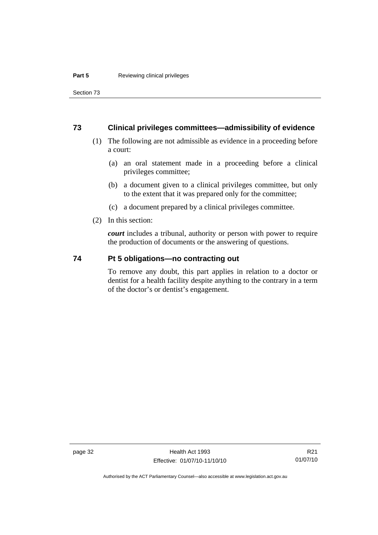Section 73

#### **73 Clinical privileges committees—admissibility of evidence**

- (1) The following are not admissible as evidence in a proceeding before a court:
	- (a) an oral statement made in a proceeding before a clinical privileges committee;
	- (b) a document given to a clinical privileges committee, but only to the extent that it was prepared only for the committee;
	- (c) a document prepared by a clinical privileges committee.
- (2) In this section:

*court* includes a tribunal, authority or person with power to require the production of documents or the answering of questions.

#### **74 Pt 5 obligations—no contracting out**

To remove any doubt, this part applies in relation to a doctor or dentist for a health facility despite anything to the contrary in a term of the doctor's or dentist's engagement.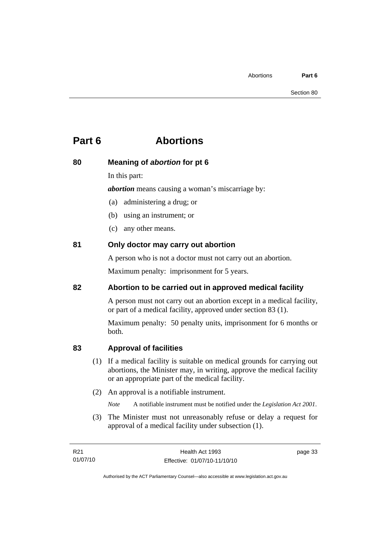## **Part 6 Abortions**

## **80 Meaning of** *abortion* **for pt 6**

In this part:

*abortion* means causing a woman's miscarriage by:

- (a) administering a drug; or
- (b) using an instrument; or
- (c) any other means.

### **81 Only doctor may carry out abortion**

A person who is not a doctor must not carry out an abortion.

Maximum penalty: imprisonment for 5 years.

### **82 Abortion to be carried out in approved medical facility**

A person must not carry out an abortion except in a medical facility, or part of a medical facility, approved under section 83 (1).

Maximum penalty: 50 penalty units, imprisonment for 6 months or both.

### **83 Approval of facilities**

- (1) If a medical facility is suitable on medical grounds for carrying out abortions, the Minister may, in writing, approve the medical facility or an appropriate part of the medical facility.
- (2) An approval is a notifiable instrument.

*Note* A notifiable instrument must be notified under the *Legislation Act 2001*.

 (3) The Minister must not unreasonably refuse or delay a request for approval of a medical facility under subsection (1).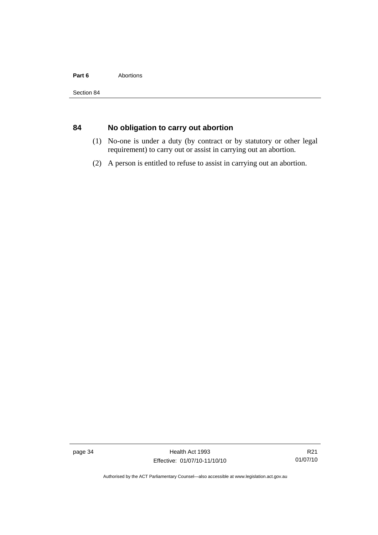#### Part 6 **Abortions**

### **84 No obligation to carry out abortion**

- (1) No-one is under a duty (by contract or by statutory or other legal requirement) to carry out or assist in carrying out an abortion.
- (2) A person is entitled to refuse to assist in carrying out an abortion.

page 34 Health Act 1993 Effective: 01/07/10-11/10/10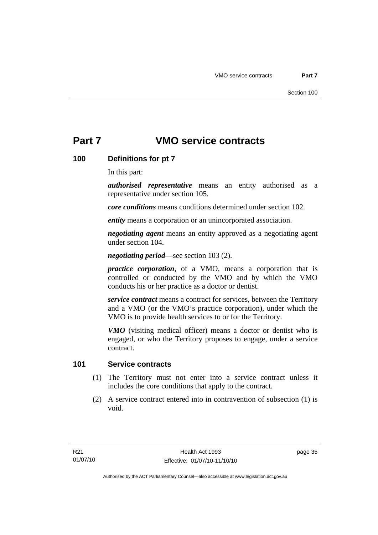## **Part 7 VMO service contracts**

### **100 Definitions for pt 7**

In this part:

*authorised representative* means an entity authorised as a representative under section 105.

*core conditions* means conditions determined under section 102.

*entity* means a corporation or an unincorporated association.

*negotiating agent* means an entity approved as a negotiating agent under section 104.

*negotiating period*—see section 103 (2).

*practice corporation*, of a VMO, means a corporation that is controlled or conducted by the VMO and by which the VMO conducts his or her practice as a doctor or dentist.

*service contract* means a contract for services, between the Territory and a VMO (or the VMO's practice corporation), under which the VMO is to provide health services to or for the Territory.

*VMO* (visiting medical officer) means a doctor or dentist who is engaged, or who the Territory proposes to engage, under a service contract.

#### **101 Service contracts**

- (1) The Territory must not enter into a service contract unless it includes the core conditions that apply to the contract.
- (2) A service contract entered into in contravention of subsection (1) is void.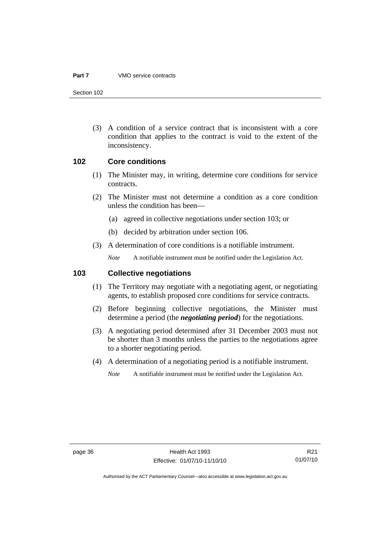#### **Part 7** VMO service contracts

Section 102

 (3) A condition of a service contract that is inconsistent with a core condition that applies to the contract is void to the extent of the inconsistency.

#### **102 Core conditions**

- (1) The Minister may, in writing, determine core conditions for service contracts.
- (2) The Minister must not determine a condition as a core condition unless the condition has been—
	- (a) agreed in collective negotiations under section 103; or
	- (b) decided by arbitration under section 106.
- (3) A determination of core conditions is a notifiable instrument.

*Note* A notifiable instrument must be notified under the Legislation Act.

#### **103 Collective negotiations**

- (1) The Territory may negotiate with a negotiating agent, or negotiating agents, to establish proposed core conditions for service contracts.
- (2) Before beginning collective negotiations, the Minister must determine a period (the *negotiating period*) for the negotiations.
- (3) A negotiating period determined after 31 December 2003 must not be shorter than 3 months unless the parties to the negotiations agree to a shorter negotiating period.
- (4) A determination of a negotiating period is a notifiable instrument.

*Note* A notifiable instrument must be notified under the Legislation Act.

R21 01/07/10

Authorised by the ACT Parliamentary Counsel—also accessible at www.legislation.act.gov.au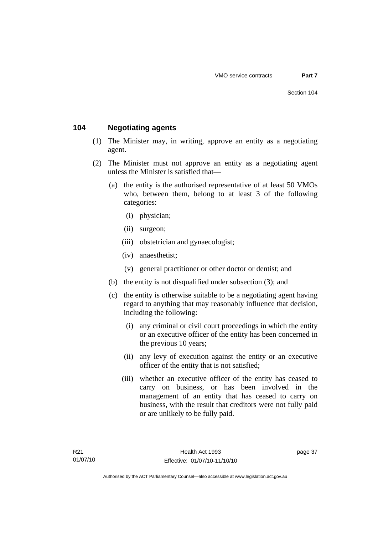### **104 Negotiating agents**

- (1) The Minister may, in writing, approve an entity as a negotiating agent.
- (2) The Minister must not approve an entity as a negotiating agent unless the Minister is satisfied that—
	- (a) the entity is the authorised representative of at least 50 VMOs who, between them, belong to at least 3 of the following categories:
		- (i) physician;
		- (ii) surgeon;
		- (iii) obstetrician and gynaecologist;
		- (iv) anaesthetist;
		- (v) general practitioner or other doctor or dentist; and
	- (b) the entity is not disqualified under subsection (3); and
	- (c) the entity is otherwise suitable to be a negotiating agent having regard to anything that may reasonably influence that decision, including the following:
		- (i) any criminal or civil court proceedings in which the entity or an executive officer of the entity has been concerned in the previous 10 years;
		- (ii) any levy of execution against the entity or an executive officer of the entity that is not satisfied;
		- (iii) whether an executive officer of the entity has ceased to carry on business, or has been involved in the management of an entity that has ceased to carry on business, with the result that creditors were not fully paid or are unlikely to be fully paid.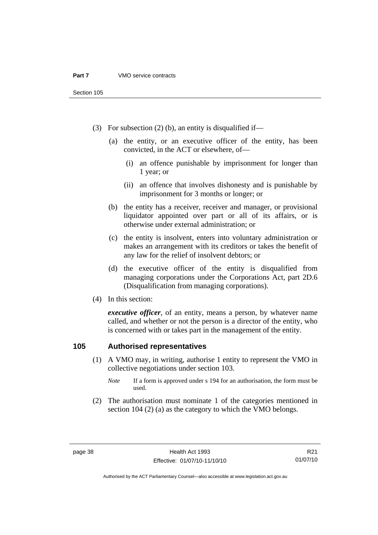- (3) For subsection (2) (b), an entity is disqualified if—
	- (a) the entity, or an executive officer of the entity, has been convicted, in the ACT or elsewhere, of—
		- (i) an offence punishable by imprisonment for longer than 1 year; or
		- (ii) an offence that involves dishonesty and is punishable by imprisonment for 3 months or longer; or
	- (b) the entity has a receiver, receiver and manager, or provisional liquidator appointed over part or all of its affairs, or is otherwise under external administration; or
	- (c) the entity is insolvent, enters into voluntary administration or makes an arrangement with its creditors or takes the benefit of any law for the relief of insolvent debtors; or
	- (d) the executive officer of the entity is disqualified from managing corporations under the Corporations Act, part 2D.6 (Disqualification from managing corporations).
- (4) In this section:

*executive officer*, of an entity, means a person, by whatever name called, and whether or not the person is a director of the entity, who is concerned with or takes part in the management of the entity.

### **105 Authorised representatives**

- (1) A VMO may, in writing, authorise 1 entity to represent the VMO in collective negotiations under section 103.
	- *Note* If a form is approved under s 194 for an authorisation, the form must be used.
- (2) The authorisation must nominate 1 of the categories mentioned in section 104 (2) (a) as the category to which the VMO belongs.

R21 01/07/10

Authorised by the ACT Parliamentary Counsel—also accessible at www.legislation.act.gov.au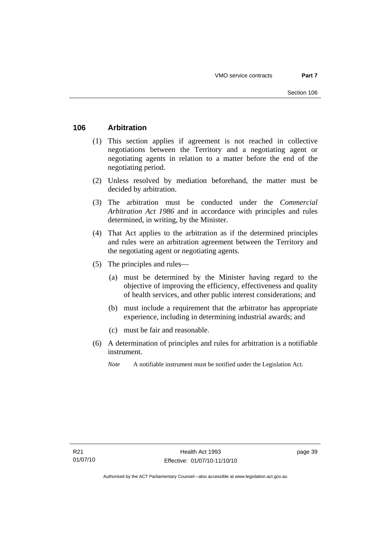### **106 Arbitration**

- (1) This section applies if agreement is not reached in collective negotiations between the Territory and a negotiating agent or negotiating agents in relation to a matter before the end of the negotiating period.
- (2) Unless resolved by mediation beforehand, the matter must be decided by arbitration.
- (3) The arbitration must be conducted under the *Commercial Arbitration Act 1986* and in accordance with principles and rules determined, in writing, by the Minister.
- (4) That Act applies to the arbitration as if the determined principles and rules were an arbitration agreement between the Territory and the negotiating agent or negotiating agents.
- (5) The principles and rules—
	- (a) must be determined by the Minister having regard to the objective of improving the efficiency, effectiveness and quality of health services, and other public interest considerations; and
	- (b) must include a requirement that the arbitrator has appropriate experience, including in determining industrial awards; and
	- (c) must be fair and reasonable.
- (6) A determination of principles and rules for arbitration is a notifiable instrument.
	- *Note* A notifiable instrument must be notified under the Legislation Act.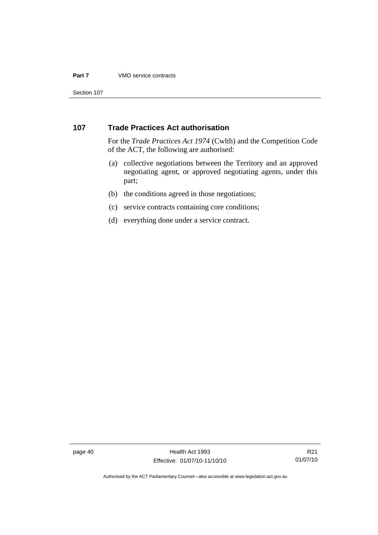#### **Part 7** VMO service contracts

Section 107

### **107 Trade Practices Act authorisation**

For the *Trade Practices Act 1974* (Cwlth) and the Competition Code of the ACT, the following are authorised:

- (a) collective negotiations between the Territory and an approved negotiating agent, or approved negotiating agents, under this part;
- (b) the conditions agreed in those negotiations;
- (c) service contracts containing core conditions;
- (d) everything done under a service contract.

R21 01/07/10

Authorised by the ACT Parliamentary Counsel—also accessible at www.legislation.act.gov.au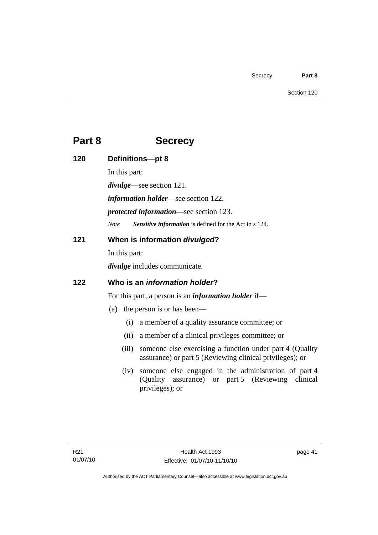## **Part 8 Secrecy**

| 120 | Definitions-pt 8                                                                                                                     |  |  |
|-----|--------------------------------------------------------------------------------------------------------------------------------------|--|--|
|     | In this part:                                                                                                                        |  |  |
|     | $divulge$ —see section 121.                                                                                                          |  |  |
|     | <i>information holder</i> —see section 122.<br><i>protected information</i> —see section 123.                                        |  |  |
|     |                                                                                                                                      |  |  |
|     | Sensitive information is defined for the Act in s 124.<br><b>Note</b>                                                                |  |  |
| 121 | When is information divulged?                                                                                                        |  |  |
|     | In this part:                                                                                                                        |  |  |
|     | divulge includes communicate.                                                                                                        |  |  |
| 122 | Who is an <i>information holder</i> ?                                                                                                |  |  |
|     | For this part, a person is an <i>information holder</i> if—                                                                          |  |  |
|     | the person is or has been—<br>(a)                                                                                                    |  |  |
|     | a member of a quality assurance committee; or<br>(i)                                                                                 |  |  |
|     | a member of a clinical privileges committee; or<br>(ii)                                                                              |  |  |
|     | someone else exercising a function under part 4 (Quality<br>(iii)<br>assurance) or part 5 (Reviewing clinical privileges); or        |  |  |
|     | someone else engaged in the administration of part 4<br>(iv)<br>(Quality assurance) or part 5 (Reviewing clinical<br>privileges); or |  |  |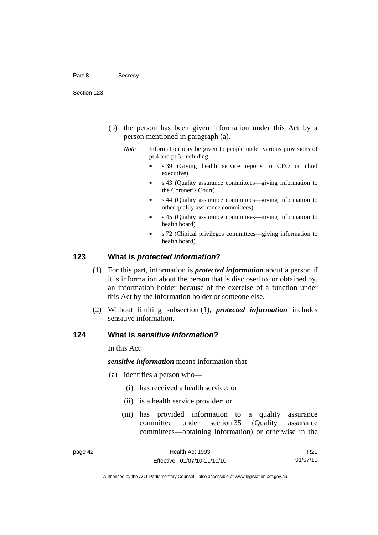- (b) the person has been given information under this Act by a person mentioned in paragraph (a).
	- *Note* Information may be given to people under various provisions of pt 4 and pt 5, including:
		- s 39 (Giving health service reports to CEO or chief executive)
		- s 43 (Quality assurance committees—giving information to the Coroner's Court)
		- s 44 (Quality assurance committees—giving information to other quality assurance committees)
		- s 45 (Quality assurance committees—giving information to health board)
		- s 72 (Clinical privileges committees—giving information to health board).

#### **123 What is** *protected information***?**

- (1) For this part, information is *protected information* about a person if it is information about the person that is disclosed to, or obtained by, an information holder because of the exercise of a function under this Act by the information holder or someone else.
- (2) Without limiting subsection (1), *protected information* includes sensitive information.

#### **124 What is** *sensitive information***?**

In this Act:

*sensitive information* means information that—

- (a) identifies a person who—
	- (i) has received a health service; or
	- (ii) is a health service provider; or
	- (iii) has provided information to a quality assurance committee under section 35 (Quality assurance committees—obtaining information) or otherwise in the

R21 01/07/10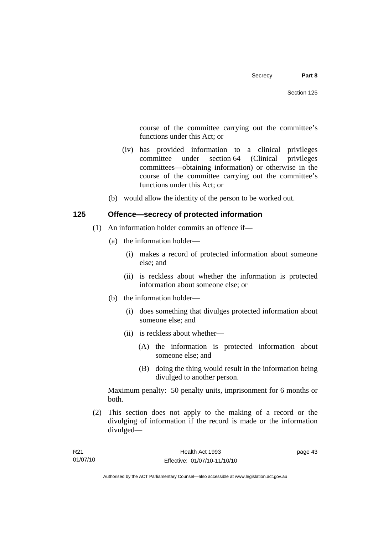course of the committee carrying out the committee's functions under this Act; or

- (iv) has provided information to a clinical privileges committee under section 64 (Clinical privileges committees—obtaining information) or otherwise in the course of the committee carrying out the committee's functions under this Act; or
- (b) would allow the identity of the person to be worked out.

### **125 Offence—secrecy of protected information**

- (1) An information holder commits an offence if—
	- (a) the information holder—
		- (i) makes a record of protected information about someone else; and
		- (ii) is reckless about whether the information is protected information about someone else; or
	- (b) the information holder—
		- (i) does something that divulges protected information about someone else; and
		- (ii) is reckless about whether—
			- (A) the information is protected information about someone else; and
			- (B) doing the thing would result in the information being divulged to another person.

Maximum penalty: 50 penalty units, imprisonment for 6 months or both.

 (2) This section does not apply to the making of a record or the divulging of information if the record is made or the information divulged—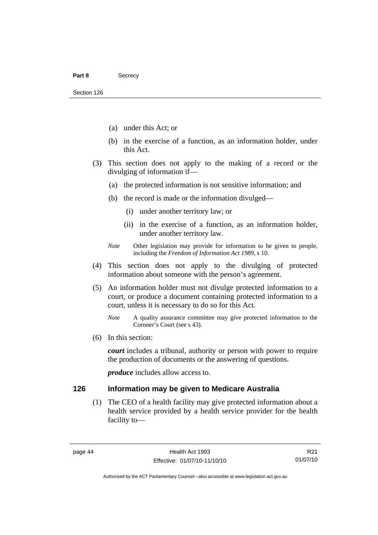- (a) under this Act; or
- (b) in the exercise of a function, as an information holder, under this Act.
- (3) This section does not apply to the making of a record or the divulging of information if—
	- (a) the protected information is not sensitive information; and
	- (b) the record is made or the information divulged—
		- (i) under another territory law; or
		- (ii) in the exercise of a function, as an information holder, under another territory law.
	- *Note* Other legislation may provide for information to be given to people, including the *Freedom of Information Act 1989*, s 10.
- (4) This section does not apply to the divulging of protected information about someone with the person's agreement.
- (5) An information holder must not divulge protected information to a court, or produce a document containing protected information to a court, unless it is necessary to do so for this Act.
	- *Note* A quality assurance committee may give protected information to the Coroner's Court (see s 43).
- (6) In this section:

*court* includes a tribunal, authority or person with power to require the production of documents or the answering of questions.

*produce* includes allow access to.

#### **126 Information may be given to Medicare Australia**

 (1) The CEO of a health facility may give protected information about a health service provided by a health service provider for the health facility to—

R21 01/07/10

Authorised by the ACT Parliamentary Counsel—also accessible at www.legislation.act.gov.au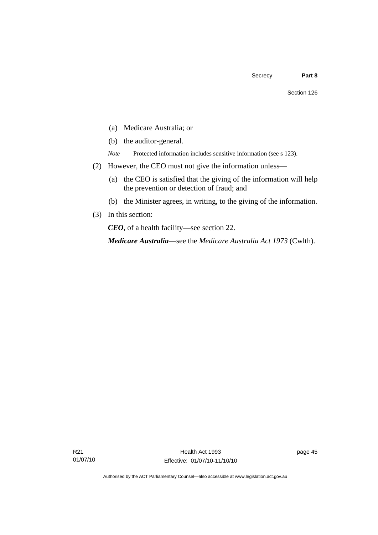- (a) Medicare Australia; or
- (b) the auditor-general.
- *Note* Protected information includes sensitive information (see s 123).
- (2) However, the CEO must not give the information unless—
	- (a) the CEO is satisfied that the giving of the information will help the prevention or detection of fraud; and
	- (b) the Minister agrees, in writing, to the giving of the information.
- (3) In this section:

*CEO*, of a health facility—see section 22.

*Medicare Australia*—see the *Medicare Australia Act 1973* (Cwlth).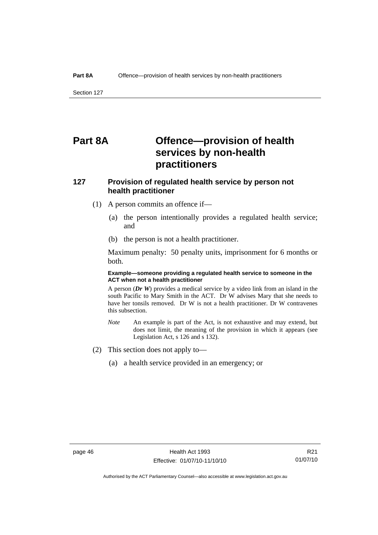Section 127

## **Part 8A Offence—provision of health services by non-health practitioners**

### **127 Provision of regulated health service by person not health practitioner**

- (1) A person commits an offence if—
	- (a) the person intentionally provides a regulated health service; and
	- (b) the person is not a health practitioner.

Maximum penalty: 50 penalty units, imprisonment for 6 months or both.

#### **Example—someone providing a regulated health service to someone in the ACT when not a health practitioner**

A person (*Dr W*) provides a medical service by a video link from an island in the south Pacific to Mary Smith in the ACT. Dr W advises Mary that she needs to have her tonsils removed. Dr W is not a health practitioner. Dr W contravenes this subsection.

- *Note* An example is part of the Act, is not exhaustive and may extend, but does not limit, the meaning of the provision in which it appears (see Legislation Act, s 126 and s 132).
- (2) This section does not apply to—
	- (a) a health service provided in an emergency; or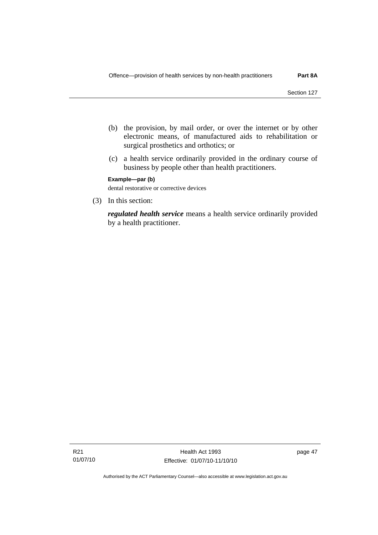- (b) the provision, by mail order, or over the internet or by other electronic means, of manufactured aids to rehabilitation or surgical prosthetics and orthotics; or
- (c) a health service ordinarily provided in the ordinary course of business by people other than health practitioners.

**Example—par (b)** 

dental restorative or corrective devices

(3) In this section:

*regulated health service* means a health service ordinarily provided by a health practitioner.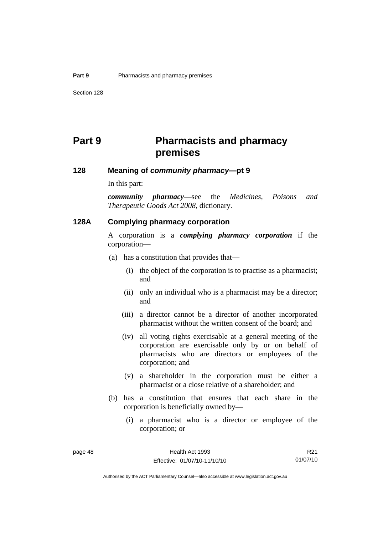## **Part 9 Pharmacists and pharmacy premises**

#### **128 Meaning of** *community pharmacy***—pt 9**

In this part:

*community pharmacy*—see the *Medicines, Poisons and Therapeutic Goods Act 2008*, dictionary.

#### **128A Complying pharmacy corporation**

A corporation is a *complying pharmacy corporation* if the corporation—

- (a) has a constitution that provides that—
	- (i) the object of the corporation is to practise as a pharmacist; and
	- (ii) only an individual who is a pharmacist may be a director; and
	- (iii) a director cannot be a director of another incorporated pharmacist without the written consent of the board; and
	- (iv) all voting rights exercisable at a general meeting of the corporation are exercisable only by or on behalf of pharmacists who are directors or employees of the corporation; and
	- (v) a shareholder in the corporation must be either a pharmacist or a close relative of a shareholder; and
- (b) has a constitution that ensures that each share in the corporation is beneficially owned by—
	- (i) a pharmacist who is a director or employee of the corporation; or

R21 01/07/10

Authorised by the ACT Parliamentary Counsel—also accessible at www.legislation.act.gov.au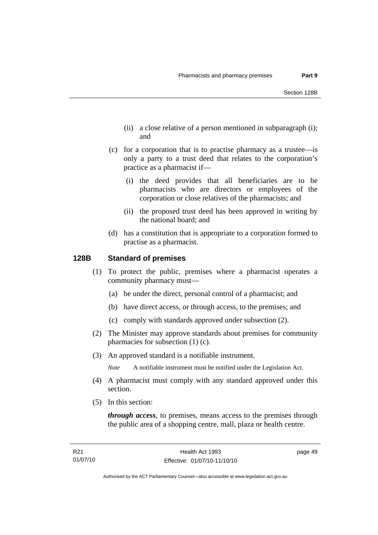- (ii) a close relative of a person mentioned in subparagraph (i); and
- (c) for a corporation that is to practise pharmacy as a trustee—is only a party to a trust deed that relates to the corporation's practice as a pharmacist if—
	- (i) the deed provides that all beneficiaries are to be pharmacists who are directors or employees of the corporation or close relatives of the pharmacists; and
	- (ii) the proposed trust deed has been approved in writing by the national board; and
- (d) has a constitution that is appropriate to a corporation formed to practise as a pharmacist.

#### **128B Standard of premises**

- (1) To protect the public, premises where a pharmacist operates a community pharmacy must—
	- (a) be under the direct, personal control of a pharmacist; and
	- (b) have direct access, or through access, to the premises; and
	- (c) comply with standards approved under subsection (2).
- (2) The Minister may approve standards about premises for community pharmacies for subsection (1) (c).
- (3) An approved standard is a notifiable instrument.

*Note* A notifiable instrument must be notified under the Legislation Act.

- (4) A pharmacist must comply with any standard approved under this section.
- (5) In this section:

*through access*, to premises, means access to the premises through the public area of a shopping centre, mall, plaza or health centre.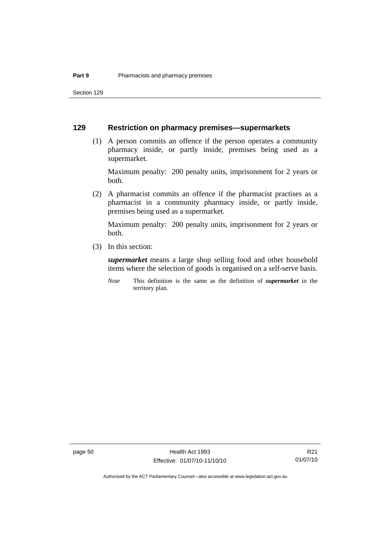Section 129

#### **129 Restriction on pharmacy premises—supermarkets**

 (1) A person commits an offence if the person operates a community pharmacy inside, or partly inside, premises being used as a supermarket.

Maximum penalty: 200 penalty units, imprisonment for 2 years or both.

 (2) A pharmacist commits an offence if the pharmacist practises as a pharmacist in a community pharmacy inside, or partly inside, premises being used as a supermarket.

Maximum penalty: 200 penalty units, imprisonment for 2 years or both.

(3) In this section:

*supermarket* means a large shop selling food and other household items where the selection of goods is organised on a self-serve basis.

*Note* This definition is the same as the definition of *supermarket* in the territory plan.

R21 01/07/10

Authorised by the ACT Parliamentary Counsel—also accessible at www.legislation.act.gov.au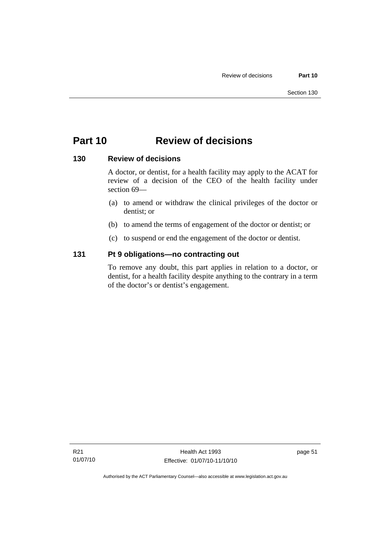## **Part 10 Review of decisions**

### **130 Review of decisions**

A doctor, or dentist, for a health facility may apply to the ACAT for review of a decision of the CEO of the health facility under section 69—

- (a) to amend or withdraw the clinical privileges of the doctor or dentist; or
- (b) to amend the terms of engagement of the doctor or dentist; or
- (c) to suspend or end the engagement of the doctor or dentist.

### **131 Pt 9 obligations—no contracting out**

To remove any doubt, this part applies in relation to a doctor, or dentist, for a health facility despite anything to the contrary in a term of the doctor's or dentist's engagement.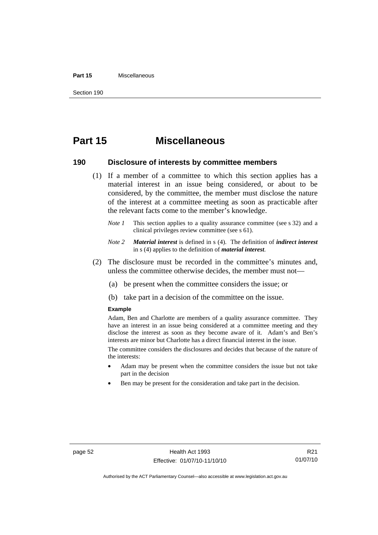#### **Part 15** Miscellaneous

Section 190

## **Part 15 Miscellaneous**

#### **190 Disclosure of interests by committee members**

- (1) If a member of a committee to which this section applies has a material interest in an issue being considered, or about to be considered, by the committee, the member must disclose the nature of the interest at a committee meeting as soon as practicable after the relevant facts come to the member's knowledge.
	- *Note 1* This section applies to a quality assurance committee (see s 32) and a clinical privileges review committee (see s 61).
	- *Note 2 Material interest* is defined in s (4). The definition of *indirect interest* in s (4) applies to the definition of *material interest*.
- (2) The disclosure must be recorded in the committee's minutes and, unless the committee otherwise decides, the member must not—
	- (a) be present when the committee considers the issue; or
	- (b) take part in a decision of the committee on the issue.

#### **Example**

Adam, Ben and Charlotte are members of a quality assurance committee. They have an interest in an issue being considered at a committee meeting and they disclose the interest as soon as they become aware of it. Adam's and Ben's interests are minor but Charlotte has a direct financial interest in the issue.

The committee considers the disclosures and decides that because of the nature of the interests:

- Adam may be present when the committee considers the issue but not take part in the decision
- Ben may be present for the consideration and take part in the decision.

R21 01/07/10

Authorised by the ACT Parliamentary Counsel—also accessible at www.legislation.act.gov.au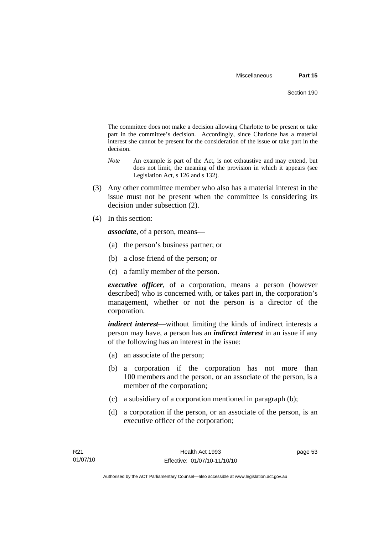The committee does not make a decision allowing Charlotte to be present or take part in the committee's decision. Accordingly, since Charlotte has a material interest she cannot be present for the consideration of the issue or take part in the decision.

- *Note* An example is part of the Act, is not exhaustive and may extend, but does not limit, the meaning of the provision in which it appears (see Legislation Act, s 126 and s 132).
- (3) Any other committee member who also has a material interest in the issue must not be present when the committee is considering its decision under subsection (2).
- (4) In this section:

*associate*, of a person, means—

- (a) the person's business partner; or
- (b) a close friend of the person; or
- (c) a family member of the person.

*executive officer*, of a corporation, means a person (however described) who is concerned with, or takes part in, the corporation's management, whether or not the person is a director of the corporation.

*indirect interest*—without limiting the kinds of indirect interests a person may have, a person has an *indirect interest* in an issue if any of the following has an interest in the issue:

- (a) an associate of the person;
- (b) a corporation if the corporation has not more than 100 members and the person, or an associate of the person, is a member of the corporation;
- (c) a subsidiary of a corporation mentioned in paragraph (b);
- (d) a corporation if the person, or an associate of the person, is an executive officer of the corporation;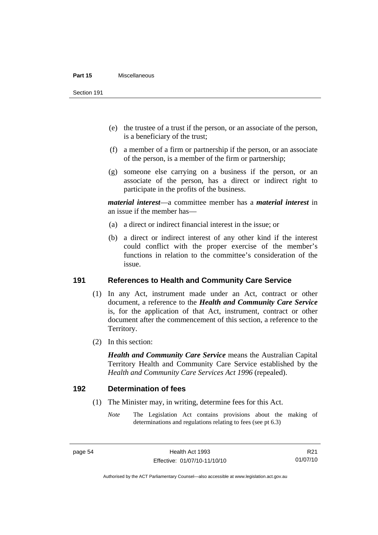#### **Part 15** Miscellaneous

Section 191

- (e) the trustee of a trust if the person, or an associate of the person, is a beneficiary of the trust;
- (f) a member of a firm or partnership if the person, or an associate of the person, is a member of the firm or partnership;
- (g) someone else carrying on a business if the person, or an associate of the person, has a direct or indirect right to participate in the profits of the business.

*material interest*—a committee member has a *material interest* in an issue if the member has—

- (a) a direct or indirect financial interest in the issue; or
- (b) a direct or indirect interest of any other kind if the interest could conflict with the proper exercise of the member's functions in relation to the committee's consideration of the issue.

#### **191 References to Health and Community Care Service**

- (1) In any Act, instrument made under an Act, contract or other document, a reference to the *Health and Community Care Service* is, for the application of that Act, instrument, contract or other document after the commencement of this section, a reference to the Territory.
- (2) In this section:

*Health and Community Care Service* means the Australian Capital Territory Health and Community Care Service established by the *Health and Community Care Services Act 1996* (repealed).

#### **192 Determination of fees**

- (1) The Minister may, in writing, determine fees for this Act.
	- *Note* The Legislation Act contains provisions about the making of determinations and regulations relating to fees (see pt 6.3)

Authorised by the ACT Parliamentary Counsel—also accessible at www.legislation.act.gov.au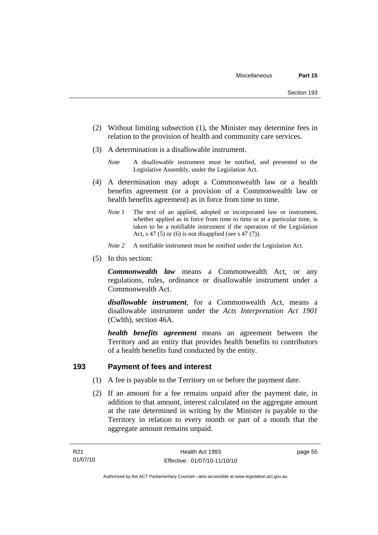- (2) Without limiting subsection (1), the Minister may determine fees in relation to the provision of health and community care services.
- (3) A determination is a disallowable instrument.
	- *Note* A disallowable instrument must be notified, and presented to the Legislative Assembly, under the Legislation Act.
- (4) A determination may adopt a Commonwealth law or a health benefits agreement (or a provision of a Commonwealth law or health benefits agreement) as in force from time to time.
	- *Note 1* The text of an applied, adopted or incorporated law or instrument, whether applied as in force from time to time or at a particular time, is taken to be a notifiable instrument if the operation of the Legislation Act, s 47 (5) or (6) is not disapplied (see s  $47(7)$ ).
	- *Note 2* A notifiable instrument must be notified under the Legislation Act.
- (5) In this section:

*Commonwealth law* means a Commonwealth Act, or any regulations, rules, ordinance or disallowable instrument under a Commonwealth Act.

*disallowable instrument*, for a Commonwealth Act, means a disallowable instrument under the *Acts Interpretation Act 1901* (Cwlth), section 46A.

*health benefits agreement* means an agreement between the Territory and an entity that provides health benefits to contributors of a health benefits fund conducted by the entity.

## **193 Payment of fees and interest**

- (1) A fee is payable to the Territory on or before the payment date.
- (2) If an amount for a fee remains unpaid after the payment date, in addition to that amount, interest calculated on the aggregate amount at the rate determined in writing by the Minister is payable to the Territory in relation to every month or part of a month that the aggregate amount remains unpaid.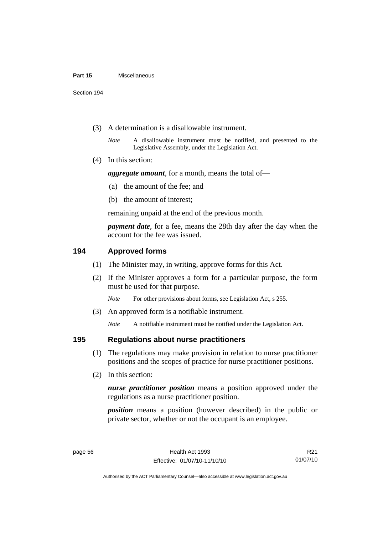Section 194

- (3) A determination is a disallowable instrument.
	- *Note* A disallowable instrument must be notified, and presented to the Legislative Assembly, under the Legislation Act.
- (4) In this section:

*aggregate amount*, for a month, means the total of—

- (a) the amount of the fee; and
- (b) the amount of interest;

remaining unpaid at the end of the previous month.

*payment date*, for a fee, means the 28th day after the day when the account for the fee was issued.

### **194 Approved forms**

- (1) The Minister may, in writing, approve forms for this Act.
- (2) If the Minister approves a form for a particular purpose, the form must be used for that purpose.

*Note* For other provisions about forms, see Legislation Act, s 255.

(3) An approved form is a notifiable instrument.

*Note* A notifiable instrument must be notified under the Legislation Act.

#### **195 Regulations about nurse practitioners**

- (1) The regulations may make provision in relation to nurse practitioner positions and the scopes of practice for nurse practitioner positions.
- (2) In this section:

*nurse practitioner position* means a position approved under the regulations as a nurse practitioner position.

*position* means a position (however described) in the public or private sector, whether or not the occupant is an employee.

R21 01/07/10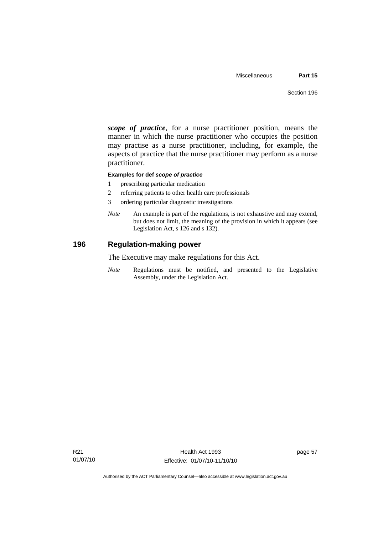*scope of practice*, for a nurse practitioner position, means the manner in which the nurse practitioner who occupies the position may practise as a nurse practitioner, including, for example, the aspects of practice that the nurse practitioner may perform as a nurse practitioner.

#### **Examples for def** *scope of practice*

- 1 prescribing particular medication
- 2 referring patients to other health care professionals
- 3 ordering particular diagnostic investigations
- *Note* An example is part of the regulations, is not exhaustive and may extend, but does not limit, the meaning of the provision in which it appears (see Legislation Act, s 126 and s 132).

#### **196 Regulation-making power**

The Executive may make regulations for this Act.

*Note* Regulations must be notified, and presented to the Legislative Assembly, under the Legislation Act.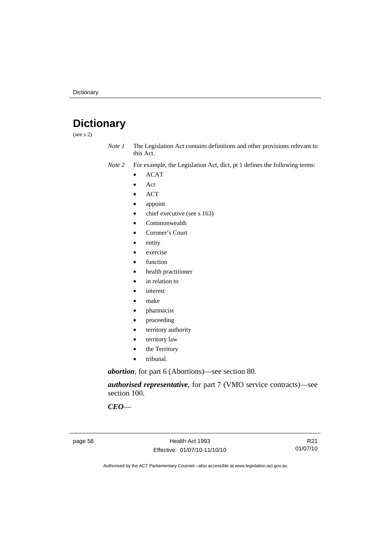# **Dictionary**

(see s 2)

- *Note 1* The Legislation Act contains definitions and other provisions relevant to this Act.
- *Note 2* For example, the Legislation Act, dict, pt 1 defines the following terms:
	- ACAT
	- Act
	- ACT
	- appoint
	- chief executive (see s 163)
	- Commonwealth
	- Coroner's Court
	- entity
	- exercise
	- function
	- health practitioner
	- in relation to
	- *interest*
	- make
	- pharmacist
	- proceeding
	- territory authority
	- territory law
	- the Territory
	- tribunal.

*abortion*, for part 6 (Abortions)—see section 80.

*authorised representative*, for part 7 (VMO service contracts)—see section 100.

*CEO*—

page 58 Health Act 1993 Effective: 01/07/10-11/10/10

R21 01/07/10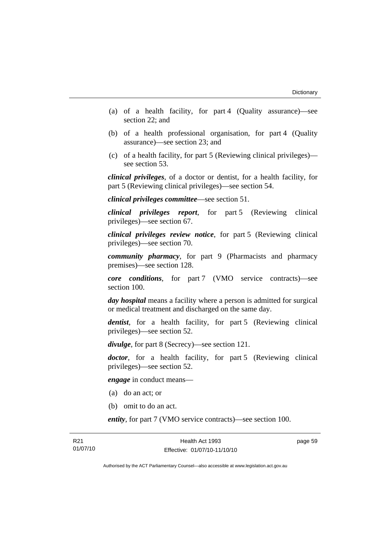- (a) of a health facility, for part 4 (Quality assurance)—see section 22; and
- (b) of a health professional organisation, for part 4 (Quality assurance)—see section 23; and
- (c) of a health facility, for part 5 (Reviewing clinical privileges) see section 53.

*clinical privileges*, of a doctor or dentist, for a health facility, for part 5 (Reviewing clinical privileges)—see section 54.

*clinical privileges committee*—see section 51.

*clinical privileges report*, for part 5 (Reviewing clinical privileges)—see section 67.

*clinical privileges review notice*, for part 5 (Reviewing clinical privileges)—see section 70.

*community pharmacy*, for part 9 (Pharmacists and pharmacy premises)—see section 128.

*core conditions*, for part 7 (VMO service contracts)—see section 100.

*day hospital* means a facility where a person is admitted for surgical or medical treatment and discharged on the same day.

*dentist*, for a health facility, for part 5 (Reviewing clinical privileges)—see section 52.

*divulge*, for part 8 (Secrecy)—see section 121.

*doctor*, for a health facility, for part 5 (Reviewing clinical privileges)—see section 52.

*engage* in conduct means—

- (a) do an act; or
- (b) omit to do an act.

*entity*, for part 7 (VMO service contracts)—see section 100.

page 59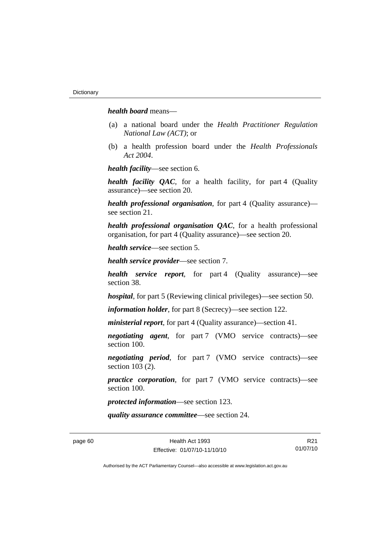*health board* means—

- (a) a national board under the *Health Practitioner Regulation National Law (ACT)*; or
- (b) a health profession board under the *Health Professionals Act 2004*.

*health facility*—see section 6.

*health facility QAC*, for a health facility, for part 4 (Quality assurance)—see section 20.

*health professional organisation*, for part 4 (Quality assurance) see section 21.

*health professional organisation QAC*, for a health professional organisation, for part 4 (Quality assurance)—see section 20.

*health service*—see section 5.

*health service provider*—see section 7.

*health service report*, for part 4 (Quality assurance)—see section 38.

*hospital*, for part 5 (Reviewing clinical privileges)—see section 50.

*information holder*, for part 8 (Secrecy)—see section 122.

*ministerial report*, for part 4 (Quality assurance)—section 41.

*negotiating agent*, for part 7 (VMO service contracts)—see section 100.

*negotiating period*, for part 7 (VMO service contracts)—see section 103 (2).

*practice corporation*, for part 7 (VMO service contracts)—see section 100.

*protected information*—see section 123.

*quality assurance committee*—see section 24.

R21 01/07/10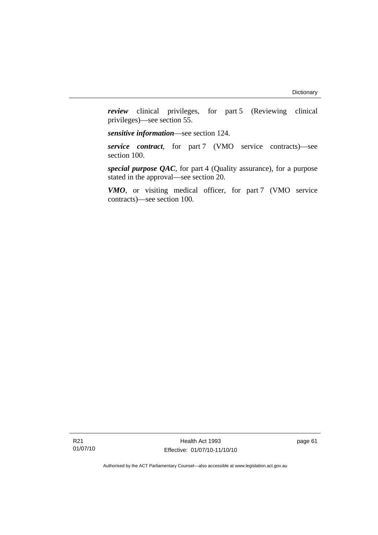*review* clinical privileges, for part 5 (Reviewing clinical privileges)—see section 55.

*sensitive information*—see section 124.

*service contract*, for part 7 (VMO service contracts)—see section 100.

*special purpose QAC*, for part 4 (Quality assurance), for a purpose stated in the approval—see section 20.

*VMO*, or visiting medical officer, for part 7 (VMO service contracts)—see section 100.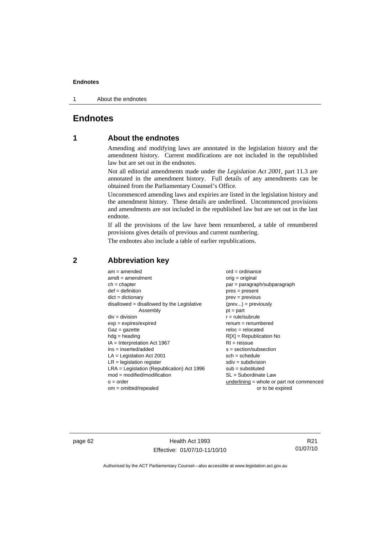#### **Endnotes**

1 About the endnotes

### **Endnotes**

### **1 About the endnotes**

Amending and modifying laws are annotated in the legislation history and the amendment history. Current modifications are not included in the republished law but are set out in the endnotes.

Not all editorial amendments made under the *Legislation Act 2001*, part 11.3 are annotated in the amendment history. Full details of any amendments can be obtained from the Parliamentary Counsel's Office.

Uncommenced amending laws and expiries are listed in the legislation history and the amendment history. These details are underlined. Uncommenced provisions and amendments are not included in the republished law but are set out in the last endnote.

If all the provisions of the law have been renumbered, a table of renumbered provisions gives details of previous and current numbering.

The endnotes also include a table of earlier republications.

| $am = amended$                               | $ord = ordinance$                         |
|----------------------------------------------|-------------------------------------------|
| $amdt = amendment$                           | $orig = original$                         |
| $ch = chapter$                               | par = paragraph/subparagraph              |
| $def = definition$                           | $pres = present$                          |
| $dict = dictionary$                          | $prev = previous$                         |
| $disallowed = disallowed by the Legislative$ | $(\text{prev}) = \text{previously}$       |
| Assembly                                     | $pt = part$                               |
| $div = division$                             | $r = rule/subrule$                        |
| $exp = expires/expired$                      | $remum = renumbered$                      |
| $Gaz = gazette$                              | $reloc = relocated$                       |
| $hdg =$ heading                              | $R[X]$ = Republication No                 |
| $IA = Interpretation Act 1967$               | $RI = reissue$                            |
| $ins = inserted/added$                       | $s = section/subsection$                  |
| $LA =$ Legislation Act 2001                  | $sch = schedule$                          |
| $LR =$ legislation register                  | $sdiv = subdivision$                      |
| $LRA =$ Legislation (Republication) Act 1996 | $sub = substituted$                       |
| $mod = modified/modification$                | $SL = Subordinate$ Law                    |
| $o = order$                                  | underlining = whole or part not commenced |
| $om = omitted/report$                        | or to be expired                          |
|                                              |                                           |

#### **2 Abbreviation key**

page 62 Health Act 1993 Effective: 01/07/10-11/10/10

R21 01/07/10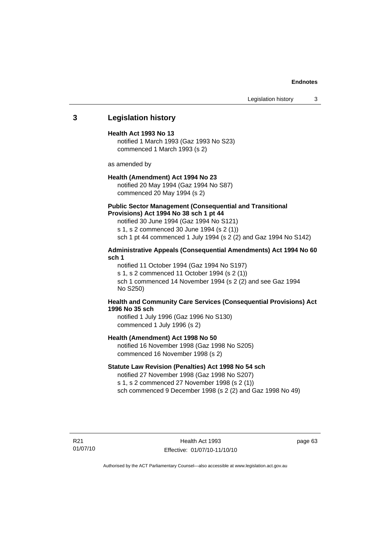#### **Endnotes**

Legislation history 3

#### **3 Legislation history**

#### **Health Act 1993 No 13**

notified 1 March 1993 (Gaz 1993 No S23) commenced 1 March 1993 (s 2)

as amended by

#### **Health (Amendment) Act 1994 No 23**

notified 20 May 1994 (Gaz 1994 No S87) commenced 20 May 1994 (s 2)

#### **Public Sector Management (Consequential and Transitional Provisions) Act 1994 No 38 sch 1 pt 44**

notified 30 June 1994 (Gaz 1994 No S121) s 1, s 2 commenced 30 June 1994 (s 2 (1)) sch 1 pt 44 commenced 1 July 1994 (s 2 (2) and Gaz 1994 No S142)

#### **Administrative Appeals (Consequential Amendments) Act 1994 No 60 sch 1**

notified 11 October 1994 (Gaz 1994 No S197) s 1, s 2 commenced 11 October 1994 (s 2 (1)) sch 1 commenced 14 November 1994 (s 2 (2) and see Gaz 1994 No S250)

#### **Health and Community Care Services (Consequential Provisions) Act 1996 No 35 sch**

notified 1 July 1996 (Gaz 1996 No S130) commenced 1 July 1996 (s 2)

#### **Health (Amendment) Act 1998 No 50**

notified 16 November 1998 (Gaz 1998 No S205) commenced 16 November 1998 (s 2)

#### **Statute Law Revision (Penalties) Act 1998 No 54 sch**

notified 27 November 1998 (Gaz 1998 No S207) s 1, s 2 commenced 27 November 1998 (s 2 (1)) sch commenced 9 December 1998 (s 2 (2) and Gaz 1998 No 49)

R21 01/07/10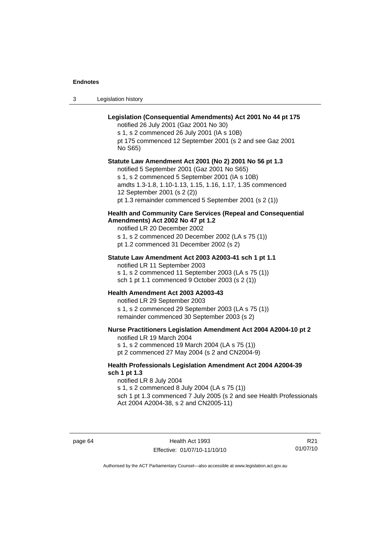#### **Endnotes**

3 Legislation history

### **Legislation (Consequential Amendments) Act 2001 No 44 pt 175**

notified 26 July 2001 (Gaz 2001 No 30)

s 1, s 2 commenced 26 July 2001 (IA s 10B) pt 175 commenced 12 September 2001 (s 2 and see Gaz 2001 No S65)

**Statute Law Amendment Act 2001 (No 2) 2001 No 56 pt 1.3** 

notified 5 September 2001 (Gaz 2001 No S65) s 1, s 2 commenced 5 September 2001 (IA s 10B) amdts 1.3-1.8, 1.10-1.13, 1.15, 1.16, 1.17, 1.35 commenced 12 September 2001 (s 2 (2)) pt 1.3 remainder commenced 5 September 2001 (s 2 (1))

#### **Health and Community Care Services (Repeal and Consequential Amendments) Act 2002 No 47 pt 1.2**

notified LR 20 December 2002

s 1, s 2 commenced 20 December 2002 (LA s 75 (1))

pt 1.2 commenced 31 December 2002 (s 2)

#### **Statute Law Amendment Act 2003 A2003-41 sch 1 pt 1.1**

notified LR 11 September 2003 s 1, s 2 commenced 11 September 2003 (LA s 75 (1)) sch 1 pt 1.1 commenced 9 October 2003 (s 2 (1))

#### **Health Amendment Act 2003 A2003-43**

notified LR 29 September 2003 s 1, s 2 commenced 29 September 2003 (LA s 75 (1)) remainder commenced 30 September 2003 (s 2)

#### **Nurse Practitioners Legislation Amendment Act 2004 A2004-10 pt 2**

notified LR 19 March 2004 s 1, s 2 commenced 19 March 2004 (LA s 75 (1)) pt 2 commenced 27 May 2004 (s 2 and CN2004-9)

#### **Health Professionals Legislation Amendment Act 2004 A2004-39 sch 1 pt 1.3**

notified LR 8 July 2004 s 1, s 2 commenced 8 July 2004 (LA s 75 (1)) sch 1 pt 1.3 commenced 7 July 2005 (s 2 and see Health Professionals Act 2004 A2004-38, s 2 and CN2005-11)

page 64 Health Act 1993 Effective: 01/07/10-11/10/10

R21 01/07/10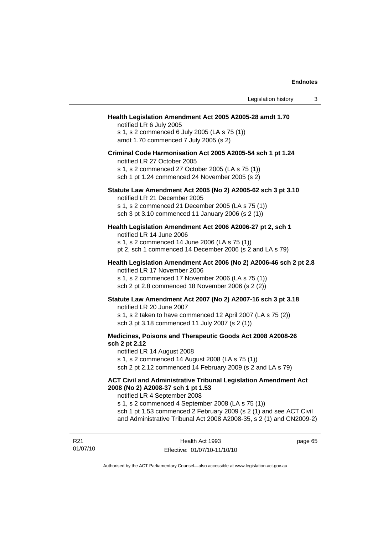#### **Health Legislation Amendment Act 2005 A2005-28 amdt 1.70**

notified LR 6 July 2005 s 1, s 2 commenced 6 July 2005 (LA s 75 (1)) amdt 1.70 commenced 7 July 2005 (s 2)

## **Criminal Code Harmonisation Act 2005 A2005-54 sch 1 pt 1.24**

notified LR 27 October 2005 s 1, s 2 commenced 27 October 2005 (LA s 75 (1)) sch 1 pt 1.24 commenced 24 November 2005 (s 2)

# **Statute Law Amendment Act 2005 (No 2) A2005-62 sch 3 pt 3.10**

notified LR 21 December 2005

s 1, s 2 commenced 21 December 2005 (LA s 75 (1)) sch 3 pt 3.10 commenced 11 January 2006 (s 2 (1))

## **Health Legislation Amendment Act 2006 A2006-27 pt 2, sch 1**

notified LR 14 June 2006 s 1, s 2 commenced 14 June 2006 (LA s 75 (1)) pt 2, sch 1 commenced 14 December 2006 (s 2 and LA s 79)

## **Health Legislation Amendment Act 2006 (No 2) A2006-46 sch 2 pt 2.8**  notified LR 17 November 2006

s 1, s 2 commenced 17 November 2006 (LA s 75 (1)) sch 2 pt 2.8 commenced 18 November 2006 (s 2 (2))

## **Statute Law Amendment Act 2007 (No 2) A2007-16 sch 3 pt 3.18**

notified LR 20 June 2007 s 1, s 2 taken to have commenced 12 April 2007 (LA s 75 (2)) sch 3 pt 3.18 commenced 11 July 2007 (s 2 (1))

## **Medicines, Poisons and Therapeutic Goods Act 2008 A2008-26 sch 2 pt 2.12**

notified LR 14 August 2008

s 1, s 2 commenced 14 August 2008 (LA s 75 (1))

sch 2 pt 2.12 commenced 14 February 2009 (s 2 and LA s 79)

## **ACT Civil and Administrative Tribunal Legislation Amendment Act 2008 (No 2) A2008-37 sch 1 pt 1.53**

notified LR 4 September 2008

s 1, s 2 commenced 4 September 2008 (LA s 75 (1)) sch 1 pt 1.53 commenced 2 February 2009 (s 2 (1) and see ACT Civil and Administrative Tribunal Act 2008 A2008-35, s 2 (1) and CN2009-2)

R21 01/07/10 page 65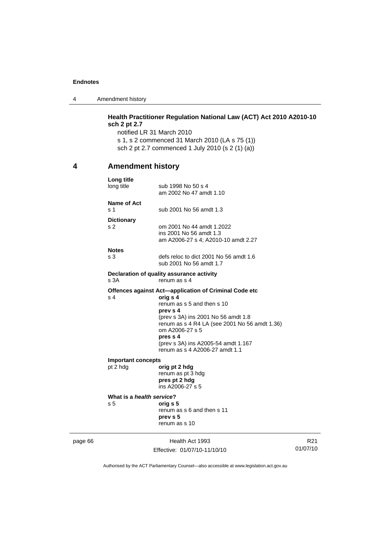4 Amendment history

# **Health Practitioner Regulation National Law (ACT) Act 2010 A2010-10 sch 2 pt 2.7**

notified LR 31 March 2010 s 1, s 2 commenced 31 March 2010 (LA s 75 (1)) sch 2 pt 2.7 commenced 1 July 2010 (s 2 (1) (a))

# **4 Amendment history**

| page 66 |                                             | Health Act 1993<br>Effective: 01/07/10-11/10/10                                                                                                                                                                                                                                                             | R21<br>01/07/10 |
|---------|---------------------------------------------|-------------------------------------------------------------------------------------------------------------------------------------------------------------------------------------------------------------------------------------------------------------------------------------------------------------|-----------------|
|         | What is a health service?<br>s <sub>5</sub> | orig s 5<br>renum as s 6 and then s 11<br>prev s 5<br>renum as s 10                                                                                                                                                                                                                                         |                 |
|         | <b>Important concepts</b><br>pt 2 hdg       | orig pt 2 hdg<br>renum as pt 3 hdg<br>pres pt 2 hdg<br>ins A2006-27 s 5                                                                                                                                                                                                                                     |                 |
|         | s 4                                         | Offences against Act-application of Criminal Code etc<br>orig s 4<br>renum as s 5 and then s 10<br>prev s 4<br>(prev s 3A) ins 2001 No 56 amdt 1.8<br>renum as s 4 R4 LA (see 2001 No 56 amdt 1.36)<br>om A2006-27 s 5<br>pres s 4<br>(prev s 3A) ins A2005-54 amdt 1.167<br>renum as s 4 A2006-27 amdt 1.1 |                 |
|         | s 3A                                        | Declaration of quality assurance activity<br>renum as s 4                                                                                                                                                                                                                                                   |                 |
|         | <b>Notes</b><br>s 3                         | defs reloc to dict 2001 No 56 amdt 1.6<br>sub 2001 No 56 amdt 1.7                                                                                                                                                                                                                                           |                 |
|         | <b>Dictionary</b><br>s 2                    | om 2001 No 44 amdt 1.2022<br>ins 2001 No 56 amdt 1.3<br>am A2006-27 s 4; A2010-10 amdt 2.27                                                                                                                                                                                                                 |                 |
|         | Name of Act<br>s 1                          | sub 2001 No 56 amdt 1.3                                                                                                                                                                                                                                                                                     |                 |
|         | Long title<br>long title                    | sub 1998 No 50 s 4<br>am 2002 No 47 amdt 1.10                                                                                                                                                                                                                                                               |                 |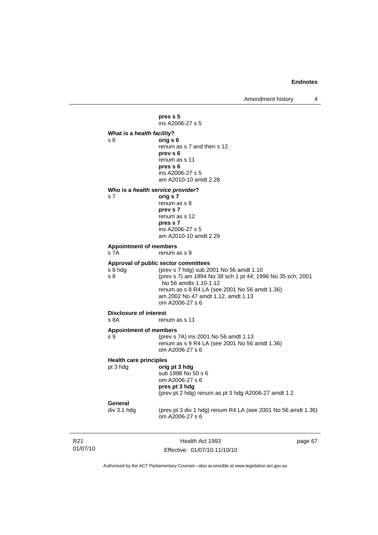Amendment history 4

01/07/10 Health Act 1993 page 67 **pres s 5**  ins A2006-27 s 5 **What is a** *health facility***?** s 6 **orig s 6**  renum as s 7 and then s 12 **prev s 6**  renum as s 11  **pres s 6**  ins A2006-27 s 5 am A2010-10 amdt 2.28 **Who is a** *health service provider***?**  s 7 **orig s 7**  renum as s 8 **prev s 7**  renum as s 12  **pres s 7**  ins A2006-27 s 5 am A2010-10 amdt 2.29 **Appointment of members**  s 7A renum as s 9 **Approval of public sector committees** s 8 hdg (prev s 7 hdg) sub 2001 No 56 amdt 1.10<br>s 8 (prev s 7) am 1994 No 38 sch 1 pt 44: 199 (prev s 7) am 1994 No 38 sch 1 pt 44; 1996 No 35 sch; 2001 No 56 amdts 1.10-1.12 renum as s 8 R4 LA (see 2001 No 56 amdt 1.36) am 2002 No 47 amdt 1.12, amdt 1.13 om A2006-27 s 6 **Disclosure of interest**  s 8A renum as s 11 **Appointment of members**  s 9 (prev s 7A) ins 2001 No 56 amdt 1.13 renum as s 9 R4 LA (see 2001 No 56 amdt 1.36) om A2006-27 s 6 **Health care principles** pt 3 hdg **orig pt 3 hdg** sub 1998 No 50 s 6 om A2006-27 s 6 **pres pt 3 hdg**  (prev pt 2 hdg) renum as pt 3 hdg A2006-27 amdt 1.2 **General**  div 3.1 hdg (prev pt 3 div 1 hdg) renum R4 LA (see 2001 No 56 amdt 1.36) om A2006-27 s 6

Authorised by the ACT Parliamentary Counsel—also accessible at www.legislation.act.gov.au

Effective: 01/07/10-11/10/10

R21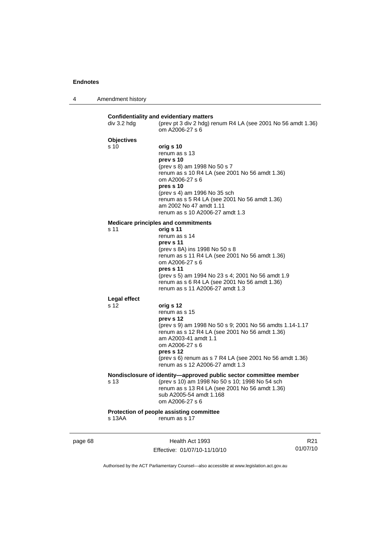4 Amendment history

| div 3.2 hdg         | (prev pt 3 div 2 hdg) renum R4 LA (see 2001 No 56 amdt 1.36)<br>om A2006-27 s 6 |
|---------------------|---------------------------------------------------------------------------------|
| <b>Objectives</b>   |                                                                                 |
| s 10                | orig s 10                                                                       |
|                     | renum as s 13                                                                   |
|                     | prev s 10                                                                       |
|                     | (prev s 8) am 1998 No 50 s 7                                                    |
|                     | renum as s 10 R4 LA (see 2001 No 56 amdt 1.36)                                  |
|                     | om A2006-27 s 6                                                                 |
|                     | pres s 10                                                                       |
|                     | (prev s 4) am 1996 No 35 sch<br>renum as s 5 R4 LA (see 2001 No 56 amdt 1.36)   |
|                     | am 2002 No 47 amdt 1.11                                                         |
|                     | renum as s 10 A2006-27 amdt 1.3                                                 |
|                     | <b>Medicare principles and commitments</b>                                      |
| s 11                | orig s 11                                                                       |
|                     | renum as s 14                                                                   |
|                     | prev s 11                                                                       |
|                     | (prev s 8A) ins 1998 No 50 s 8                                                  |
|                     | renum as s 11 R4 LA (see 2001 No 56 amdt 1.36)                                  |
|                     | om A2006-27 s 6                                                                 |
|                     | pres s 11<br>(prev s 5) am 1994 No 23 s 4; 2001 No 56 amdt 1.9                  |
|                     | renum as s 6 R4 LA (see 2001 No 56 amdt 1.36)                                   |
|                     | renum as s 11 A2006-27 amdt 1.3                                                 |
| <b>Legal effect</b> |                                                                                 |
| s 12                | orig s 12                                                                       |
|                     | renum as s 15                                                                   |
|                     | prev s 12                                                                       |
|                     | (prev s 9) am 1998 No 50 s 9; 2001 No 56 amdts 1.14-1.17                        |
|                     | renum as s 12 R4 LA (see 2001 No 56 amdt 1.36)<br>am A2003-41 amdt 1.1          |
|                     | om A2006-27 s 6                                                                 |
|                     | pres s 12                                                                       |
|                     | (prev s 6) renum as s 7 R4 LA (see 2001 No 56 amdt 1.36)                        |
|                     | renum as s 12 A2006-27 amdt 1.3                                                 |
|                     | Nondisclosure of identity-approved public sector committee member               |
| s 13                | (prev s 10) am 1998 No 50 s 10; 1998 No 54 sch                                  |
|                     | renum as s 13 R4 LA (see 2001 No 56 amdt 1.36)                                  |
|                     | sub A2005-54 amdt 1.168                                                         |
|                     | om A2006-27 s 6                                                                 |
|                     | Protection of people assisting committee                                        |

page 68 Health Act 1993 Effective: 01/07/10-11/10/10

R21 01/07/10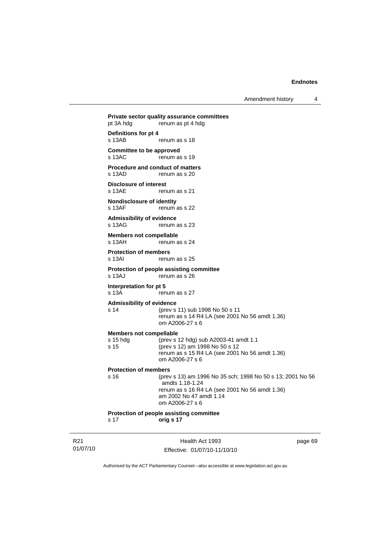Amendment history 4

**Private sector quality assurance committees**  pt 3A hdg renum as pt 4 hdg **Definitions for pt 4**  renum as s 18 **Committee to be approved**<br>s 13AC renum as . .<br>renum as s 19 **Procedure and conduct of matters**  s 13AD renum as s 20 **Disclosure of interest**<br>s 13AE ren renum as s 21 **Nondisclosure of identity**  s 13AF renum as s 22 **Admissibility of evidence**  s 13AG renum as s 23 **Members not compellable**  s 13AH renum as s 24 **Protection of members**  s 13AI renum as s 25 **Protection of people assisting committee**  s 13AJ renum as s 26 **Interpretation for pt 5**  s 13A renum as s 27 **Admissibility of evidence** s 14 (prev s 11) sub 1998 No 50 s 11 renum as s 14 R4 LA (see 2001 No 56 amdt 1.36) om A2006-27 s 6 **Members not compellable** s 15 hdg (prev s 12 hdg) sub A2003-41 amdt 1.1<br>s 15 (prev s 12) am 1998 No 50 s 12 (prev s 12) am 1998 No 50 s 12 renum as s 15 R4 LA (see 2001 No 56 amdt 1.36) om A2006-27 s 6 **Protection of members** s 16 (prev s 13) am 1996 No 35 sch; 1998 No 50 s 13; 2001 No 56 amdts 1.18-1.24 renum as s 16 R4 LA (see 2001 No 56 amdt 1.36) am 2002 No 47 amdt 1.14 om A2006-27 s 6

**Protection of people assisting committee** s 17 **orig s 17**

R21 01/07/10

Health Act 1993 Effective: 01/07/10-11/10/10 page 69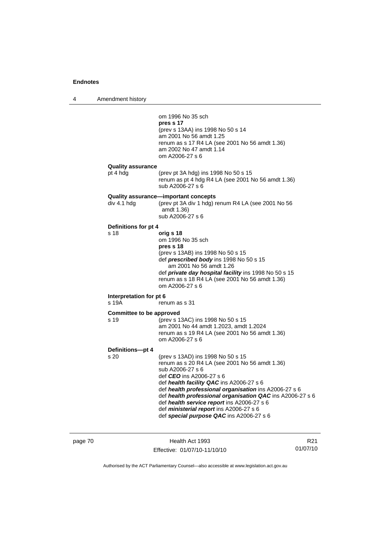4 Amendment history

| om 1996 No 35 sch                                                                                                                                                                                                                                                                                                                                                                                                                                                             |  |
|-------------------------------------------------------------------------------------------------------------------------------------------------------------------------------------------------------------------------------------------------------------------------------------------------------------------------------------------------------------------------------------------------------------------------------------------------------------------------------|--|
| pres s 17<br>(prev s 13AA) ins 1998 No 50 s 14<br>am 2001 No 56 amdt 1.25<br>renum as s 17 R4 LA (see 2001 No 56 amdt 1.36)<br>am 2002 No 47 amdt 1.14<br>om A2006-27 s 6                                                                                                                                                                                                                                                                                                     |  |
| <b>Quality assurance</b><br>pt 4 hdg<br>(prev pt 3A hdg) ins 1998 No 50 s 15<br>renum as pt 4 hdg R4 LA (see 2001 No 56 amdt 1.36)                                                                                                                                                                                                                                                                                                                                            |  |
| sub A2006-27 s 6                                                                                                                                                                                                                                                                                                                                                                                                                                                              |  |
| Quality assurance-important concepts<br>div 4.1 hdg<br>(prev pt 3A div 1 hdg) renum R4 LA (see 2001 No 56<br>amdt 1.36)<br>sub A2006-27 s 6                                                                                                                                                                                                                                                                                                                                   |  |
| Definitions for pt 4                                                                                                                                                                                                                                                                                                                                                                                                                                                          |  |
| s 18<br>orig s 18<br>om 1996 No 35 sch<br>pres s 18<br>(prev s 13AB) ins 1998 No 50 s 15<br>def prescribed body ins 1998 No 50 s 15<br>am 2001 No 56 amdt 1.26<br>def private day hospital facility ins 1998 No 50 s 15<br>renum as s 18 R4 LA (see 2001 No 56 amdt 1.36)<br>om A2006-27 s 6                                                                                                                                                                                  |  |
| Interpretation for pt 6<br>s 19A<br>renum as s 31                                                                                                                                                                                                                                                                                                                                                                                                                             |  |
| <b>Committee to be approved</b><br>s 19<br>(prev s 13AC) ins 1998 No 50 s 15<br>am 2001 No 44 amdt 1.2023, amdt 1.2024<br>renum as s 19 R4 LA (see 2001 No 56 amdt 1.36)<br>om A2006-27 s 6                                                                                                                                                                                                                                                                                   |  |
| Definitions-pt 4<br>s 20<br>(prev s 13AD) ins 1998 No 50 s 15<br>renum as s 20 R4 LA (see 2001 No 56 amdt 1.36)<br>sub A2006-27 s 6<br>def <i>CEO</i> ins A2006-27 s 6<br>def health facility QAC ins A2006-27 s 6<br>def health professional organisation ins A2006-27 s 6<br>def health professional organisation QAC ins A2006-27 s 6<br>def health service report ins A2006-27 s 6<br>def ministerial report ins A2006-27 s 6<br>def special purpose QAC ins A2006-27 s 6 |  |

| page 70 |  |  |
|---------|--|--|
|---------|--|--|

page 70 Health Act 1993 Effective: 01/07/10-11/10/10

R21 01/07/10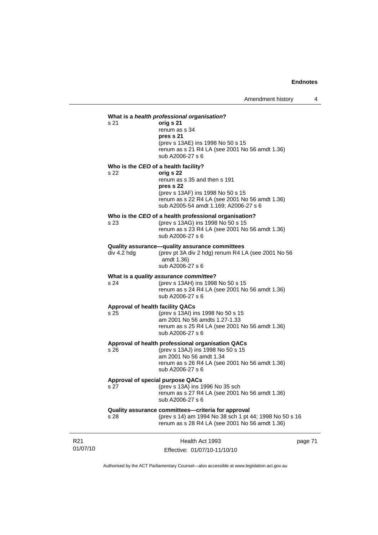## 01/07/10 Health Act 1993 Effective: 01/07/10-11/10/10 page 71 **What is a** *health professional organisation***?** s 21 **orig s 21**  renum as s 34 **pres s 21**  (prev s 13AE) ins 1998 No 50 s 15 renum as s 21 R4 LA (see 2001 No 56 amdt 1.36) sub A2006-27 s 6 **Who is the** *CEO* **of a health facility?** s 22 **orig s 22**  renum as s 35 and then s 191 **pres s 22**  (prev s 13AF) ins 1998 No 50 s 15 renum as s 22 R4 LA (see 2001 No 56 amdt 1.36) sub A2005-54 amdt 1.169; A2006-27 s 6 **Who is the** *CEO* **of a health professional organisation?** s 23 (prev s 13AG) ins 1998 No 50 s 15 renum as s 23 R4 LA (see 2001 No 56 amdt 1.36) sub A2006-27 s 6 **Quality assurance—quality assurance committees**  div 4.2 hdg (prev pt 3A div 2 hdg) renum R4 LA (see 2001 No 56 amdt 1.36) sub A2006-27 s 6 **What is a** *quality assurance committee***?** s 24 (prev s 13AH) ins 1998 No 50 s 15 renum as s 24 R4 LA (see 2001 No 56 amdt 1.36) sub A2006-27 s 6 **Approval of health facility QACs** s 25 (prev s 13AI) ins 1998 No 50 s 15 am 2001 No 56 amdts 1.27-1.33 renum as s 25 R4 LA (see 2001 No 56 amdt 1.36) sub A2006-27 s 6 **Approval of health professional organisation QACs** s 26 (prev s 13AJ) ins 1998 No 50 s 15 am 2001 No 56 amdt 1.34 renum as s 26 R4 LA (see 2001 No 56 amdt 1.36) sub A2006-27 s 6 **Approval of special purpose QACs** s 27 (prev s 13A) ins 1996 No 35 sch renum as s 27 R4 LA (see 2001 No 56 amdt 1.36) sub A2006-27 s 6 **Quality assurance committees—criteria for approval** s 28 (prev s 14) am 1994 No 38 sch 1 pt 44; 1998 No 50 s 16 renum as s 28 R4 LA (see 2001 No 56 amdt 1.36)

Authorised by the ACT Parliamentary Counsel—also accessible at www.legislation.act.gov.au

R21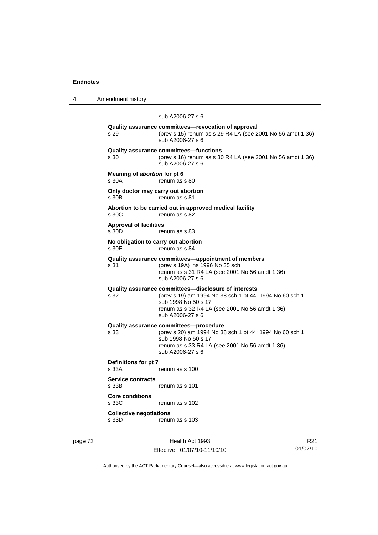4 Amendment history

# sub A2006-27 s 6 **Quality assurance committees—revocation of approval**  s 29 (prev s 15) renum as s 29 R4 LA (see 2001 No 56 amdt 1.36) sub A2006-27 s 6 **Quality assurance committees—functions**  s 30 (prev s 16) renum as s 30 R4 LA (see 2001 No 56 amdt 1.36) sub A2006-27 s 6 **Meaning of** *abortion* **for pt 6**  s 30A renum as s 80 **Only doctor may carry out abortion**  s 30B renum as s 81 **Abortion to be carried out in approved medical facility**   $renum$  as s  $82$ **Approval of facilities**  s 30D renum as s 83 **No obligation to carry out abortion**  s 30E renum as s 84 **Quality assurance committees—appointment of members** s 31 (prev s 19A) ins 1996 No 35 sch renum as s 31 R4 LA (see 2001 No 56 amdt 1.36) sub A2006-27 s 6 **Quality assurance committees—disclosure of interests** s 32 (prev s 19) am 1994 No 38 sch 1 pt 44; 1994 No 60 sch 1 sub 1998 No 50 s 17 renum as s 32 R4 LA (see 2001 No 56 amdt 1.36) sub A2006-27 s 6 **Quality assurance committees—procedure** (prev s 20) am 1994 No 38 sch 1 pt 44; 1994 No 60 sch 1 sub 1998 No 50 s 17 renum as s 33 R4 LA (see 2001 No 56 amdt 1.36) sub A2006-27 s 6 **Definitions for pt 7**  s 33A renum as s 100 **Service contracts**  renum as s 101 **Core conditions**  s 33C renum as s 102 **Collective negotiations**

page 72 Health Act 1993 Effective: 01/07/10-11/10/10

s 33D renum as s 103

R21 01/07/10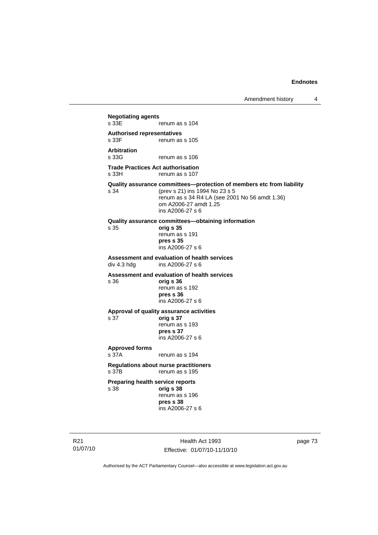**Negotiating agents**  renum as s 104 **Authorised representatives**  renum as s 105 **Arbitration**  renum as s 106 **Trade Practices Act authorisation**  s 33H renum as s 107 **Quality assurance committees—protection of members etc from liability**<br>s 34 (prev s 21) ins 1994 No 23 s 5 (prev s 21) ins 1994 No 23 s 5 renum as s 34 R4 LA (see 2001 No 56 amdt 1.36) om A2006-27 amdt 1.25 ins A2006-27 s 6 **Quality assurance committees—obtaining information** s 35 **orig s 35**  renum as s 191 **pres s 35**  ins A2006-27 s 6 **Assessment and evaluation of health services**  ins A2006-27 s 6 **Assessment and evaluation of health services**  s 36 **orig s 36**  renum as s 192 **pres s 36**  ins A2006-27 s 6 **Approval of quality assurance activities**  s 37 **orig s 37**  renum as s 193 **pres s 37**  ins A2006-27 s 6 **Approved forms**  s 37A renum as s 194 **Regulations about nurse practitioners**  s 37B renum as s 195 **Preparing health service reports**  s 38 **orig s 38** renum as s 196 **pres s 38**  ins A2006-27 s 6

R21 01/07/10

Health Act 1993 Effective: 01/07/10-11/10/10 page 73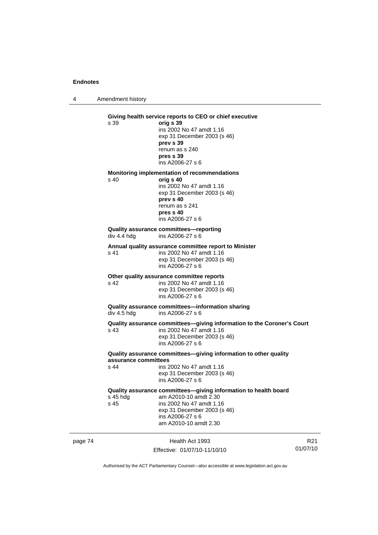4 Amendment history

|         | s 39                                                                                                                                                                                                                    | Giving health service reports to CEO or chief executive<br>orig s 39<br>ins 2002 No 47 amdt 1.16<br>exp 31 December 2003 (s 46)<br>prev s 39<br>renum as s 240<br>pres s 39<br>ins A2006-27 s 6  |                             |  |
|---------|-------------------------------------------------------------------------------------------------------------------------------------------------------------------------------------------------------------------------|--------------------------------------------------------------------------------------------------------------------------------------------------------------------------------------------------|-----------------------------|--|
|         | s 40                                                                                                                                                                                                                    | Monitoring implementation of recommendations<br>orig s 40<br>ins 2002 No 47 amdt 1.16<br>exp 31 December 2003 (s 46)<br>prev s 40<br>renum as s 241<br>pres s 40<br>ins A2006-27 s 6             |                             |  |
|         | div 4.4 hdg                                                                                                                                                                                                             | Quality assurance committees-reporting<br>ins A2006-27 s 6                                                                                                                                       |                             |  |
|         | s 41                                                                                                                                                                                                                    | Annual quality assurance committee report to Minister<br>ins 2002 No 47 amdt 1.16<br>exp 31 December 2003 (s 46)<br>ins A2006-27 s 6                                                             |                             |  |
|         | Other quality assurance committee reports<br>s 42<br>ins 2002 No 47 amdt 1.16<br>exp 31 December 2003 (s 46)<br>ins A2006-27 s 6<br>Quality assurance committees-information sharing<br>div 4.5 hdg<br>ins A2006-27 s 6 |                                                                                                                                                                                                  |                             |  |
|         |                                                                                                                                                                                                                         |                                                                                                                                                                                                  |                             |  |
|         | s 43                                                                                                                                                                                                                    | Quality assurance committees-giving information to the Coroner's Court<br>ins 2002 No 47 amdt 1.16<br>exp 31 December 2003 (s 46)<br>ins A2006-27 s 6                                            |                             |  |
|         | assurance committees<br>s 44                                                                                                                                                                                            | Quality assurance committees-giving information to other quality<br>ins 2002 No 47 amdt 1.16<br>exp 31 December 2003 (s 46)<br>ins A2006-27 s 6                                                  |                             |  |
|         | s 45 hdg<br>s 45                                                                                                                                                                                                        | Quality assurance committees-giving information to health board<br>am A2010-10 amdt 2.30<br>ins 2002 No 47 amdt 1.16<br>exp 31 December 2003 (s 46)<br>ins A2006-27 s 6<br>am A2010-10 amdt 2.30 |                             |  |
| page 74 |                                                                                                                                                                                                                         | Health Act 1993<br>Effective: 01/07/10-11/10/10                                                                                                                                                  | R <sub>21</sub><br>01/07/10 |  |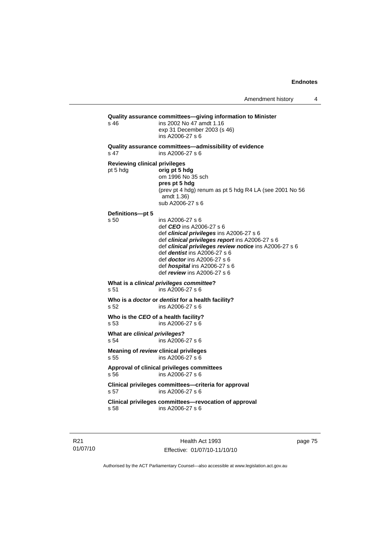```
Quality assurance committees—giving information to Minister 
s 46 ins 2002 No 47 amdt 1.16 
                   exp 31 December 2003 (s 46) 
                   ins A2006-27 s 6 
Quality assurance committees—admissibility of evidence 
s 47 ins A2006-27 s 6 
Reviewing clinical privileges 
pt 5 hdg orig pt 5 hdg
                   om 1996 No 35 sch 
                  pres pt 5 hdg 
                   (prev pt 4 hdg) renum as pt 5 hdg R4 LA (see 2001 No 56 
                   amdt 1.36) 
                   sub A2006-27 s 6 
Definitions—pt 5 
                  ins A2006-27 s 6
                   def CEO ins A2006-27 s 6 
                   def clinical privileges ins A2006-27 s 6 
                   def clinical privileges report ins A2006-27 s 6 
                   def clinical privileges review notice ins A2006-27 s 6 
                   def dentist ins A2006-27 s 6 
                   def doctor ins A2006-27 s 6 
                   def hospital ins A2006-27 s 6 
                   def review ins A2006-27 s 6 
What is a clinical privileges committee? 
                 ins A2006-27 s 6Who is a doctor or dentist for a health facility? 
s 52 ins A2006-27 s 6 
Who is the CEO of a health facility? 
s 53 ins A2006-27 s 6 
What are clinical privileges? 
s 54 ins A2006-27 s 6 
Meaning of review clinical privileges 
s 55 ins A2006-27 s 6 
Approval of clinical privileges committees 
s 56 ins A2006-27 s 6 
Clinical privileges committees—criteria for approval 
s 57 ins A2006-27 s 6 
Clinical privileges committees—revocation of approval 
s 58 ins A2006-27 s 6
```
R21 01/07/10

Health Act 1993 Effective: 01/07/10-11/10/10 page 75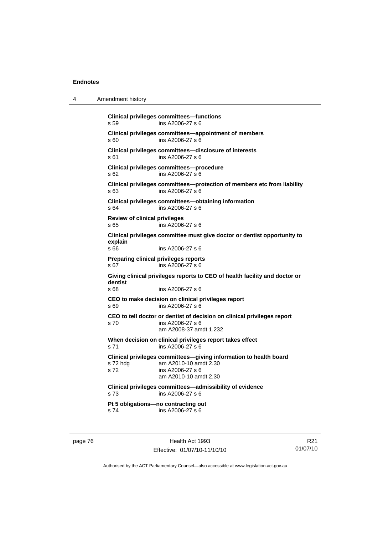4 Amendment history **Clinical privileges committees—functions**  s 59 ins A2006-27 s 6 **Clinical privileges committees—appointment of members**  s 60 ins A2006-27 s 6 **Clinical privileges committees—disclosure of interests**  s 61 ins A2006-27 s 6 **Clinical privileges committees—procedure**  s 62 ins A2006-27 s 6 **Clinical privileges committees—protection of members etc from liability**  s 63 ins A2006-27 s 6 **Clinical privileges committees—obtaining information**  s 64 ins A2006-27 s 6 **Review of clinical privileges**  s 65 ins A2006-27 s 6 **Clinical privileges committee must give doctor or dentist opportunity to explain**  ins A2006-27 s 6 **Preparing clinical privileges reports**  s 67 ins A2006-27 s 6 **Giving clinical privileges reports to CEO of health facility and doctor or dentist**  ins A2006-27 s 6 **CEO to make decision on clinical privileges report**  s 69 ins A2006-27 s 6 **CEO to tell doctor or dentist of decision on clinical privileges report**  s 70 ins A2006-27 s 6 am A2008-37 amdt 1.232 **When decision on clinical privileges report takes effect**  s 71 ins A2006-27 s 6 **Clinical privileges committees—giving information to health board**  s 72 hdg am A2010-10 amdt 2.30 s 72 ins A2006-27 s 6 am A2010-10 amdt 2.30 **Clinical privileges committees—admissibility of evidence**  s 73 ins A2006-27 s 6 **Pt 5 obligations—no contracting out**  s 74 ins A2006-27 s 6

page 76 **Health Act 1993** Effective: 01/07/10-11/10/10

R21 01/07/10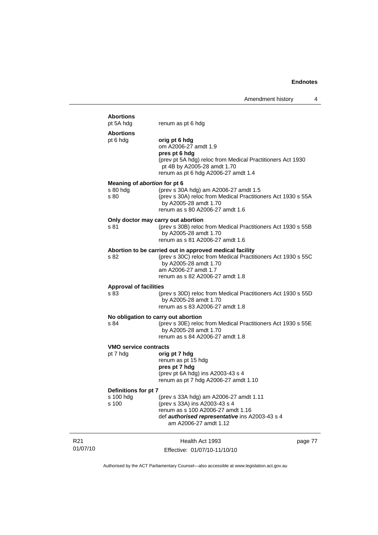|                             | <b>Abortions</b><br>pt 5A hdg                    | renum as pt 6 hdg                                                                                                                                                                                           |         |
|-----------------------------|--------------------------------------------------|-------------------------------------------------------------------------------------------------------------------------------------------------------------------------------------------------------------|---------|
|                             | <b>Abortions</b><br>pt 6 hdg                     | orig pt 6 hdg<br>om A2006-27 amdt 1.9<br>pres pt 6 hdg<br>(prev pt 5A hdg) reloc from Medical Practitioners Act 1930<br>pt 4B by A2005-28 amdt 1.70<br>renum as pt 6 hdg A2006-27 amdt 1.4                  |         |
|                             | Meaning of abortion for pt 6<br>s 80 hdg<br>s 80 | (prev s 30A hdg) am A2006-27 amdt 1.5<br>(prev s 30A) reloc from Medical Practitioners Act 1930 s 55A<br>by A2005-28 amdt 1.70<br>renum as s 80 A2006-27 amdt 1.6                                           |         |
|                             | Only doctor may carry out abortion<br>s 81       | (prev s 30B) reloc from Medical Practitioners Act 1930 s 55B<br>by A2005-28 amdt 1.70<br>renum as s 81 A2006-27 amdt 1.6                                                                                    |         |
|                             | s 82                                             | Abortion to be carried out in approved medical facility<br>(prev s 30C) reloc from Medical Practitioners Act 1930 s 55C<br>by A2005-28 amdt 1.70<br>am A2006-27 amdt 1.7<br>renum as s 82 A2006-27 amdt 1.8 |         |
|                             | <b>Approval of facilities</b><br>s 83            | (prev s 30D) reloc from Medical Practitioners Act 1930 s 55D<br>by A2005-28 amdt 1.70<br>renum as s 83 A2006-27 amdt 1.8                                                                                    |         |
|                             | No obligation to carry out abortion<br>s 84      | (prev s 30E) reloc from Medical Practitioners Act 1930 s 55E<br>by A2005-28 amdt 1.70<br>renum as s 84 A2006-27 amdt 1.8                                                                                    |         |
|                             | <b>VMO service contracts</b><br>pt 7 hdg         | orig pt 7 hdg<br>renum as pt 15 hdg<br>pres pt 7 hdg<br>(prev pt 6A hdg) ins A2003-43 s 4<br>renum as pt 7 hdg A2006-27 amdt 1.10                                                                           |         |
|                             | Definitions for pt 7<br>s 100 hdg<br>s 100       | (prev s 33A hdg) am A2006-27 amdt 1.11<br>(prev s 33A) ins A2003-43 s 4<br>renum as s 100 A2006-27 amdt 1.16<br>def <b>authorised representative</b> ins A2003-43 s 4<br>am A2006-27 amdt 1.12              |         |
| R <sub>21</sub><br>01/07/10 |                                                  | Health Act 1993<br>Effective: 01/07/10-11/10/10                                                                                                                                                             | page 77 |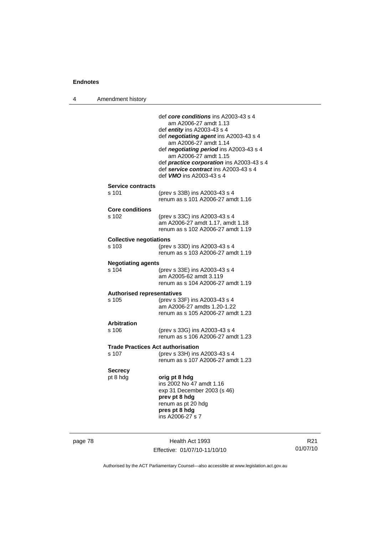4 Amendment history

|                                            | am A2006-27 amdt 1.13<br>def <i>entity</i> ins A2003-43 s 4<br>def negotiating agent ins A2003-43 s 4<br>am A2006-27 amdt 1.14<br>def negotiating period ins A2003-43 s 4<br>am A2006-27 amdt 1.15<br>def practice corporation ins A2003-43 s 4<br>def service contract ins A2003-43 s 4 |
|--------------------------------------------|------------------------------------------------------------------------------------------------------------------------------------------------------------------------------------------------------------------------------------------------------------------------------------------|
|                                            | def <b>VMO</b> ins A2003-43 s 4                                                                                                                                                                                                                                                          |
| <b>Service contracts</b><br>s 101          | (prev s 33B) ins A2003-43 s 4<br>renum as s 101 A2006-27 amdt 1.16                                                                                                                                                                                                                       |
| <b>Core conditions</b><br>$s$ 102          | (prev s 33C) ins A2003-43 s 4<br>am A2006-27 amdt 1.17, amdt 1.18<br>renum as s 102 A2006-27 amdt 1.19                                                                                                                                                                                   |
| <b>Collective negotiations</b><br>s 103    | (prev s 33D) ins A2003-43 s 4<br>renum as s 103 A2006-27 amdt 1.19                                                                                                                                                                                                                       |
| <b>Negotiating agents</b>                  |                                                                                                                                                                                                                                                                                          |
| s 104                                      | (prev s 33E) ins A2003-43 s 4<br>am A2005-62 amdt 3.119<br>renum as s 104 A2006-27 amdt 1.19                                                                                                                                                                                             |
| <b>Authorised representatives</b><br>s 105 | (prev s 33F) ins A2003-43 s 4<br>am A2006-27 amdts 1.20-1.22<br>renum as s 105 A2006-27 amdt 1.23                                                                                                                                                                                        |
| <b>Arbitration</b>                         |                                                                                                                                                                                                                                                                                          |
| s 106                                      | (prev s 33G) ins A2003-43 s 4<br>renum as s 106 A2006-27 amdt 1.23                                                                                                                                                                                                                       |
|                                            | <b>Trade Practices Act authorisation</b>                                                                                                                                                                                                                                                 |
| s 107                                      | (prev s 33H) ins A2003-43 s 4<br>renum as s 107 A2006-27 amdt 1.23                                                                                                                                                                                                                       |
| <b>Secrecy</b>                             |                                                                                                                                                                                                                                                                                          |
| pt 8 hdg                                   | orig pt 8 hdg<br>ins 2002 No 47 amdt 1.16<br>exp 31 December 2003 (s 46)<br>prev pt 8 hdg<br>renum as pt 20 hdg<br>pres pt 8 hdg<br>ins A2006-27 s 7                                                                                                                                     |

page 78 Health Act 1993 Effective: 01/07/10-11/10/10

R21 01/07/10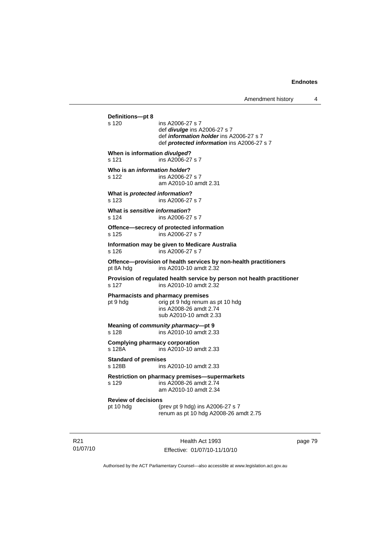```
Definitions—pt 8 
                 ins A2006-27 s 7
                  def divulge ins A2006-27 s 7 
                  def information holder ins A2006-27 s 7 
                  def protected information ins A2006-27 s 7 
When is information divulged? 
s 121 ins A2006-27 s 7 
Who is an information holder? 
s 122 ins A2006-27 s 7 
                  am A2010-10 amdt 2.31 
What is protected information? 
s 123 ins A2006-27 s 7 
What is sensitive information? 
s 124 ins A2006-27 s 7 
Offence—secrecy of protected information 
s 125 ins A2006-27 s 7 
Information may be given to Medicare Australia 
s 126 ins A2006-27 s 7 
Offence—provision of health services by non-health practitioners 
pt 8A hdg ins A2010-10 amdt 2.32 
Provision of regulated health service by person not health practitioner 
s 127 ins A2010-10 amdt 2.32 
Pharmacists and pharmacy premises 
pt 9 hdg orig pt 9 hdg renum as pt 10 hdg
                  ins A2008-26 amdt 2.74 
                  sub A2010-10 amdt 2.33 
Meaning of community pharmacy—pt 9 
s 128 ins A2010-10 amdt 2.33 
Complying pharmacy corporation 
s 128A ins A2010-10 amdt 2.33 
Standard of premises 
                ins A2010-10 amdt 2.33
Restriction on pharmacy premises—supermarkets 
s 129 ins A2008-26 amdt 2.74 
                  am A2010-10 amdt 2.34 
Review of decisions 
                 (prev pt 9 hdg) ins A2006-27 s 7 renum as pt 10 hdg A2008-26 amdt 2.75
```
R21 01/07/10

Health Act 1993 Effective: 01/07/10-11/10/10 page 79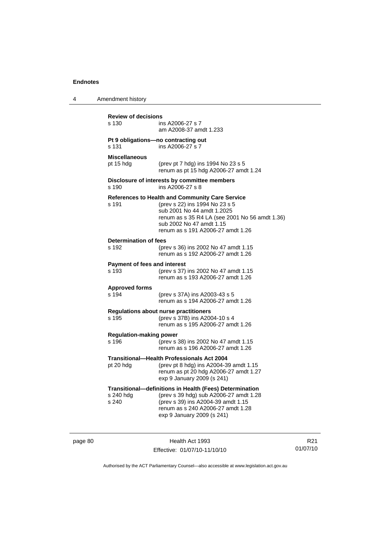4 Amendment history

**Review of decisions**  ins A2006-27 s 7 am A2008-37 amdt 1.233 **Pt 9 obligations—no contracting out**  s 131 ins A2006-27 s 7 **Miscellaneous** pt 15 hdg (prev pt 7 hdg) ins 1994 No 23 s 5

renum as pt 15 hdg A2006-27 amdt 1.24

## **Disclosure of interests by committee members**  s 190 ins A2006-27 s 8

#### **References to Health and Community Care Service** s 191

| S 191 | (prev s 22) Ins 1994 No 23 S 5                 |
|-------|------------------------------------------------|
|       | sub 2001 No 44 amdt 1.2025                     |
|       | renum as s 35 R4 LA (see 2001 No 56 amdt 1.36) |
|       | sub 2002 No 47 amdt 1.15                       |
|       | renum as s 191 A2006-27 amdt 1.26              |
|       |                                                |

## **Determination of fees**

| s 192                               |  | (prev s 36) ins 2002 No 47 amdt 1.15 |  |
|-------------------------------------|--|--------------------------------------|--|
|                                     |  | renum as s 192 A2006-27 amdt 1.26    |  |
| <b>Payment of fees and interest</b> |  |                                      |  |
|                                     |  | ------                               |  |

| s 193 | (prev s 37) ins 2002 No 47 amdt 1.15 |
|-------|--------------------------------------|
|       | renum as s 193 A2006-27 amdt 1.26    |

## **Approved forms**

| s 194 | (prev s 37A) ins A2003-43 s 5     |
|-------|-----------------------------------|
|       | renum as s 194 A2006-27 amdt 1.26 |

# **Regulations about nurse practitioners**

(prev s 37B) ins A2004-10 s 4 renum as s 195 A2006-27 amdt 1.26

#### **Regulation-making power**

s 196 (prev s 38) ins 2002 No 47 amdt 1.15 renum as s 196 A2006-27 amdt 1.26

## **Transitional—Health Professionals Act 2004**

pt 20 hdg (prev pt 8 hdg) ins A2004-39 amdt 1.15 renum as pt 20 hdg A2006-27 amdt 1.27 exp 9 January 2009 (s 241)

# **Transitional—definitions in Health (Fees) Determination**

| (prev s 39 hdg) sub A2006-27 amdt 1.28 |
|----------------------------------------|
| (prev s 39) ins A2004-39 amdt 1.15     |
| renum as s 240 A2006-27 amdt 1.28      |
| exp 9 January 2009 (s 241)             |
|                                        |

page 80 Health Act 1993 Effective: 01/07/10-11/10/10

R21 01/07/10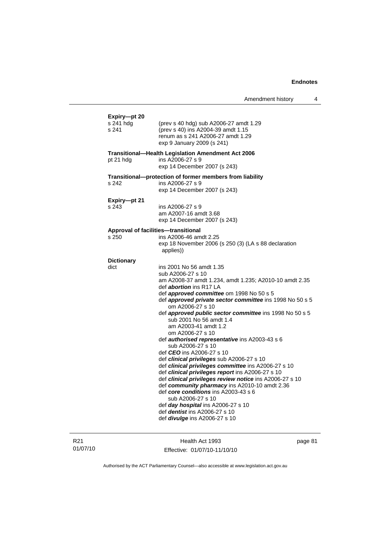|                                    |                                                                                                                                                                                                                                                                                                                                                                                                                                                                                                                                                                                                                                                                                                                                                                                                                                                                                                                                                                                         | Amendment history | 4 |
|------------------------------------|-----------------------------------------------------------------------------------------------------------------------------------------------------------------------------------------------------------------------------------------------------------------------------------------------------------------------------------------------------------------------------------------------------------------------------------------------------------------------------------------------------------------------------------------------------------------------------------------------------------------------------------------------------------------------------------------------------------------------------------------------------------------------------------------------------------------------------------------------------------------------------------------------------------------------------------------------------------------------------------------|-------------------|---|
| Expiry-pt 20<br>s 241 hdg<br>s 241 | (prev s 40 hdg) sub A2006-27 amdt 1.29<br>(prev s 40) ins A2004-39 amdt 1.15<br>renum as s 241 A2006-27 amdt 1.29<br>exp 9 January 2009 (s 241)                                                                                                                                                                                                                                                                                                                                                                                                                                                                                                                                                                                                                                                                                                                                                                                                                                         |                   |   |
| pt 21 hdg                          | <b>Transitional-Health Legislation Amendment Act 2006</b><br>ins A2006-27 s 9<br>exp 14 December 2007 (s 243)                                                                                                                                                                                                                                                                                                                                                                                                                                                                                                                                                                                                                                                                                                                                                                                                                                                                           |                   |   |
| s 242                              | Transitional-protection of former members from liability<br>ins A2006-27 s 9<br>exp 14 December 2007 (s 243)                                                                                                                                                                                                                                                                                                                                                                                                                                                                                                                                                                                                                                                                                                                                                                                                                                                                            |                   |   |
| Expiry-pt 21<br>s 243              | ins A2006-27 s 9<br>am A2007-16 amdt 3.68<br>exp 14 December 2007 (s 243)                                                                                                                                                                                                                                                                                                                                                                                                                                                                                                                                                                                                                                                                                                                                                                                                                                                                                                               |                   |   |
| s 250                              | Approval of facilities-transitional<br>ins A2006-46 amdt 2.25<br>exp 18 November 2006 (s 250 (3) (LA s 88 declaration<br>applies))                                                                                                                                                                                                                                                                                                                                                                                                                                                                                                                                                                                                                                                                                                                                                                                                                                                      |                   |   |
| <b>Dictionary</b><br>dict          | ins 2001 No 56 amdt 1.35<br>sub A2006-27 s 10<br>am A2008-37 amdt 1.234, amdt 1.235; A2010-10 amdt 2.35<br>def <i>abortion</i> ins R17 LA<br>def <i>approved committee</i> om 1998 No 50 s 5<br>def approved private sector committee ins 1998 No 50 s 5<br>om A2006-27 s 10<br>def approved public sector committee ins 1998 No 50 s 5<br>sub 2001 No 56 amdt 1.4<br>am A2003-41 amdt 1.2<br>om A2006-27 s 10<br>def <i>authorised representative</i> ins A2003-43 s 6<br>sub A2006-27 s 10<br>def <i>CEO</i> ins A2006-27 s 10<br>def clinical privileges sub A2006-27 s 10<br>def clinical privileges committee ins A2006-27 s 10<br>def clinical privileges report ins A2006-27 s 10<br>def clinical privileges review notice ins A2006-27 s 10<br>def community pharmacy ins A2010-10 amdt 2.36<br>def core conditions ins A2003-43 s 6<br>sub A2006-27 s 10<br>def day hospital ins A2006-27 s 10<br>def <i>dentist</i> ins A2006-27 s 10<br>def <i>divulge</i> ins A2006-27 s 10 |                   |   |

R21 01/07/10

Health Act 1993 Effective: 01/07/10-11/10/10 page 81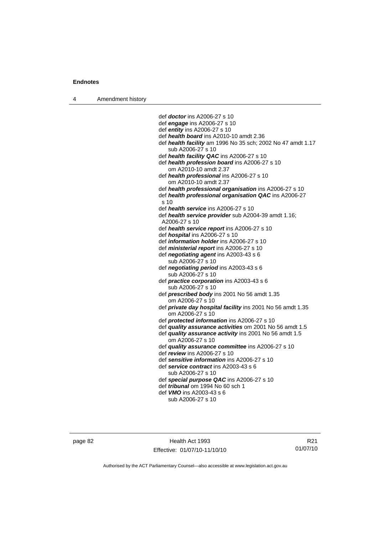4 Amendment history

 def *doctor* ins A2006-27 s 10 def *engage* ins A2006-27 s 10 def *entity* ins A2006-27 s 10 def *health board* ins A2010-10 amdt 2.36 def *health facility* am 1996 No 35 sch; 2002 No 47 amdt 1.17 sub A2006-27 s 10 def *health facility QAC* ins A2006-27 s 10 def *health profession board* ins A2006-27 s 10 om A2010-10 amdt 2.37 def *health professional* ins A2006-27 s 10 om A2010-10 amdt 2.37 def *health professional organisation* ins A2006-27 s 10 def *health professional organisation QAC* ins A2006-27  $s$  10 def *health service* ins A2006-27 s 10 def *health service provider* sub A2004-39 amdt 1.16; A2006-27 s 10 def *health service report* ins A2006-27 s 10 def *hospital* ins A2006-27 s 10 def *information holder* ins A2006-27 s 10 def *ministerial report* ins A2006-27 s 10 def *negotiating agent* ins A2003-43 s 6 sub A2006-27 s 10 def *negotiating period* ins A2003-43 s 6 sub A2006-27 s 10 def *practice corporation* ins A2003-43 s 6 sub A2006-27 s 10 def *prescribed body* ins 2001 No 56 amdt 1.35 om A2006-27 s 10 def *private day hospital facility* ins 2001 No 56 amdt 1.35 om A2006-27 s 10 def *protected information* ins A2006-27 s 10 def *quality assurance activities* om 2001 No 56 amdt 1.5 def *quality assurance activity* ins 2001 No 56 amdt 1.5 om A2006-27 s 10 def *quality assurance committee* ins A2006-27 s 10 def *review* ins A2006-27 s 10 def *sensitive information* ins A2006-27 s 10 def *service contract* ins A2003-43 s 6 sub A2006-27 s 10 def *special purpose QAC* ins A2006-27 s 10 def *tribunal* om 1994 No 60 sch 1 def *VMO* ins A2003-43 s 6 sub A2006-27 s 10

page 82 Health Act 1993 Effective: 01/07/10-11/10/10

R21 01/07/10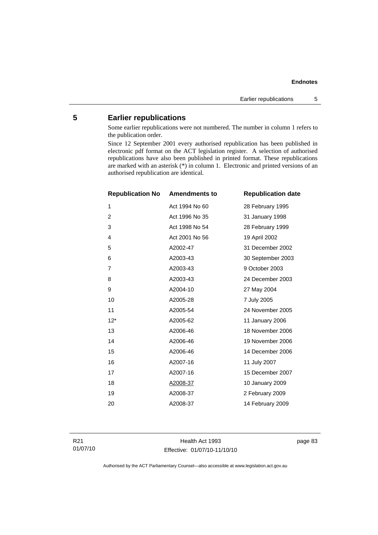# **5 Earlier republications**

Some earlier republications were not numbered. The number in column 1 refers to the publication order.

Since 12 September 2001 every authorised republication has been published in electronic pdf format on the ACT legislation register. A selection of authorised republications have also been published in printed format. These republications are marked with an asterisk (\*) in column 1. Electronic and printed versions of an authorised republication are identical.

| <b>Republication No</b> | <b>Amendments to</b> | <b>Republication date</b> |
|-------------------------|----------------------|---------------------------|
| 1                       | Act 1994 No 60       | 28 February 1995          |
| $\overline{2}$          | Act 1996 No 35       | 31 January 1998           |
| 3                       | Act 1998 No 54       | 28 February 1999          |
| 4                       | Act 2001 No 56       | 19 April 2002             |
| 5                       | A2002-47             | 31 December 2002          |
| 6                       | A2003-43             | 30 September 2003         |
| 7                       | A2003-43             | 9 October 2003            |
| 8                       | A2003-43             | 24 December 2003          |
| 9                       | A2004-10             | 27 May 2004               |
| 10                      | A2005-28             | 7 July 2005               |
| 11                      | A2005-54             | 24 November 2005          |
| $12*$                   | A2005-62             | 11 January 2006           |
| 13                      | A2006-46             | 18 November 2006          |
| 14                      | A2006-46             | 19 November 2006          |
| 15                      | A2006-46             | 14 December 2006          |
| 16                      | A2007-16             | 11 July 2007              |
| 17                      | A2007-16             | 15 December 2007          |
| 18                      | A2008-37             | 10 January 2009           |
| 19                      | A2008-37             | 2 February 2009           |
| 20                      | A2008-37             | 14 February 2009          |

Health Act 1993 Effective: 01/07/10-11/10/10 page 83